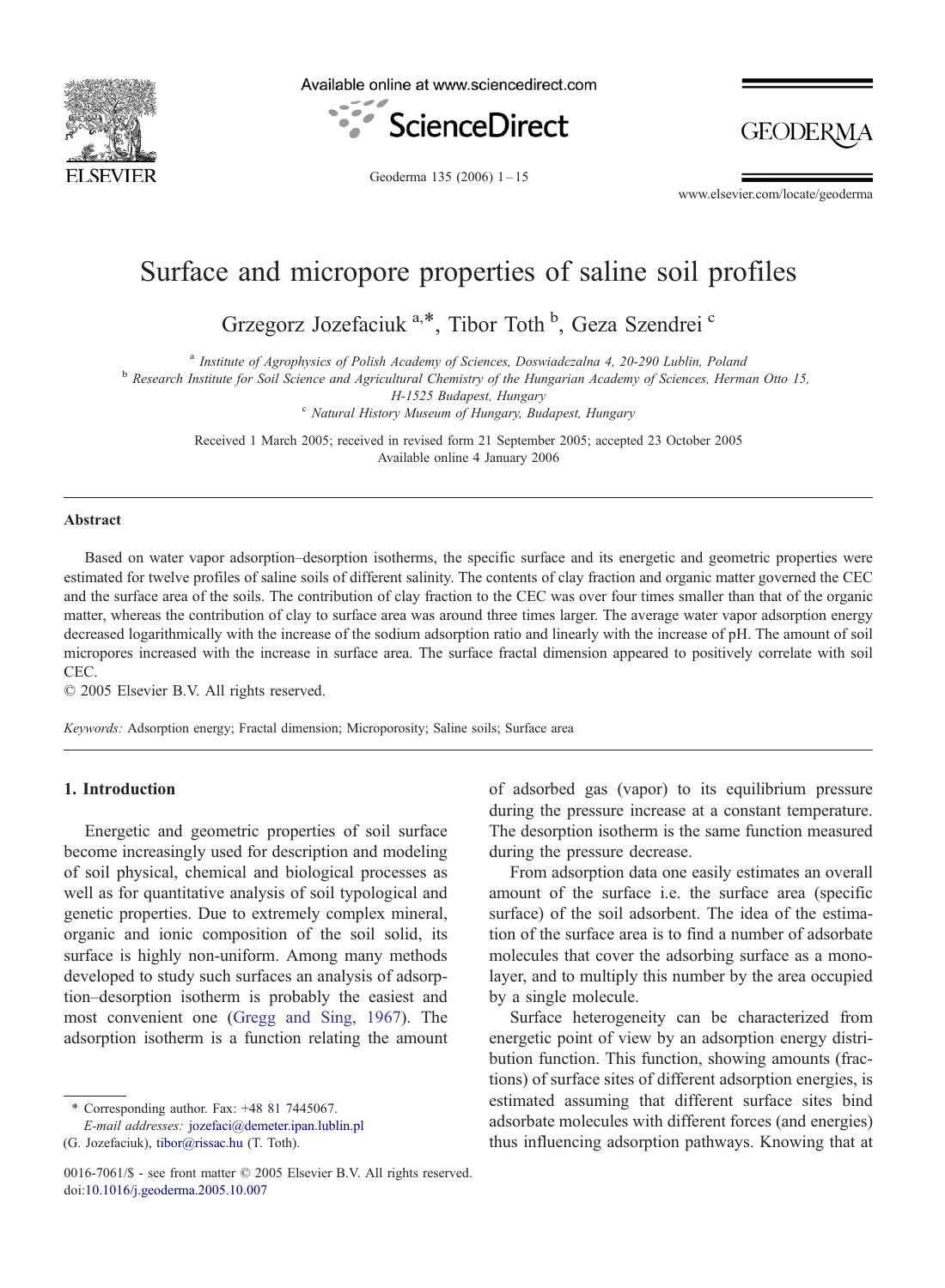

Available online at www.sciencedirect.com



**GEODERMA** 

Geoderma 135 (2006) 1-15

www.elsevier.com/locate/geoderma

# Surface and micropore properties of saline soil profiles

Grzegorz Jozefaciuk<sup>a,\*</sup>, Tibor Toth<sup>b</sup>, Geza Szendrei<sup>c</sup>

<sup>a</sup> Institute of Agrophysics of Polish Academy of Sciences, Doswiadczalna 4, 20-290 Lublin, Poland<br><sup>b</sup> Research Institute for Soil Science and Agricultural Chemistry of the Hungarian Academy of Sciences, Herman Otto 15,

 $H-1525$  Budapest, Hungary<br><sup>c</sup> Natural History Museum of Hungary, Budapest, Hungary

Received 1 March 2005; received in revised form 21 September 2005; accepted 23 October 2005 Available online 4 January 2006

#### Abstract

Based on water vapor adsorption–desorption isotherms, the specific surface and its energetic and geometric properties were estimated for twelve profiles of saline soils of different salinity. The contents of clay fraction and organic matter governed the CEC and the surface area of the soils. The contribution of clay fraction to the CEC was over four times smaller than that of the organic matter, whereas the contribution of clay to surface area was around three times larger. The average water vapor adsorption energy decreased logarithmically with the increase of the sodium adsorption ratio and linearly with the increase of pH. The amount of soil micropores increased with the increase in surface area. The surface fractal dimension appeared to positively correlate with soil CEC.

 $© 2005 Elsevier B.V. All rights reserved.$ 

Keywords: Adsorption energy; Fractal dimension; Microporosity; Saline soils; Surface area

## 1. Introduction

Energetic and geometric properties of soil surface become increasingly used for description and modeling of soil physical, chemical and biological processes as well as for quantitative analysis of soil typological and genetic properties. Due to extremely complex mineral, organic and ionic composition of the soil solid, its surface is highly non-uniform. Among many methods developed to study such surfaces an analysis of adsorption–desorption isotherm is probably the easiest and most convenient one [\(Gregg and Sing, 1967](#page-12-0)). The adsorption isotherm is a function relating the amount

\* Corresponding author. Fax: +48 81 7445067.

of adsorbed gas (vapor) to its equilibrium pressure during the pressure increase at a constant temperature. The desorption isotherm is the same function measured during the pressure decrease.

From adsorption data one easily estimates an overall amount of the surface i.e. the surface area (specific surface) of the soil adsorbent. The idea of the estimation of the surface area is to find a number of adsorbate molecules that cover the adsorbing surface as a monolayer, and to multiply this number by the area occupied by a single molecule.

Surface heterogeneity can be characterized from energetic point of view by an adsorption energy distribution function. This function, showing amounts (fractions) of surface sites of different adsorption energies, is estimated assuming that different surface sites bind adsorbate molecules with different forces (and energies) thus influencing adsorption pathways. Knowing that at

E-mail addresses: [jozefaci@demeter.ipan.lublin.pl](mailto:jozefaci@demeter.ipan.lublin.pl)

<sup>(</sup>G. Jozefaciuk), [tibor@rissac.hu](mailto:tibor@rissac.hu) (T. Toth).

<sup>0016-7061/\$ -</sup> see front matter © 2005 Elsevier B.V. All rights reserved. [doi:10.1016/j.geoderma.2005.10.007](http://dx.doi.org/10.1016/j.geoderma.2005.10.007)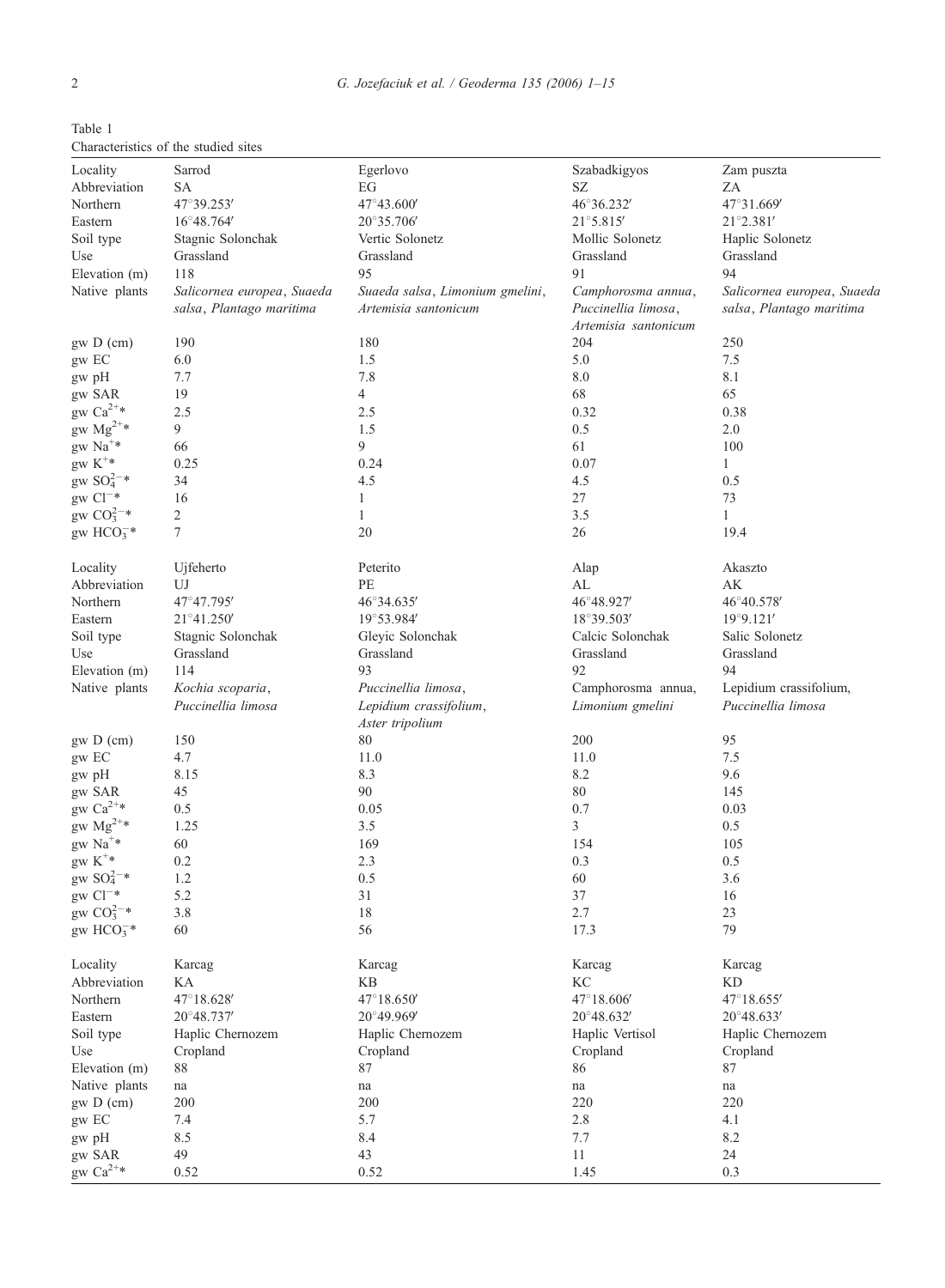<span id="page-1-0"></span>

| Table 1                              |  |  |
|--------------------------------------|--|--|
| Characteristics of the studied sites |  |  |

| Locality                           | Sarrod                     | Egerlovo                        | Szabadkigyos         | Zam puszta                 |
|------------------------------------|----------------------------|---------------------------------|----------------------|----------------------------|
| Abbreviation                       | <b>SA</b>                  | EG                              | SZ                   | ZA                         |
| Northern                           | 47°39.253'                 | 47°43.600'                      | 46°36.232'           | 47°31.669'                 |
| Eastern                            | 16°48.764'                 | 20°35.706'                      | $21^{\circ}5.815'$   | 21°2.381'                  |
| Soil type                          | Stagnic Solonchak          | Vertic Solonetz                 | Mollic Solonetz      | Haplic Solonetz            |
| Use                                | Grassland                  | Grassland                       | Grassland            | Grassland                  |
| Elevation (m)                      | 118                        | 95                              | 91                   | 94                         |
| Native plants                      | Salicornea europea, Suaeda | Suaeda salsa, Limonium gmelini, | Camphorosma annua,   | Salicornea europea, Suaeda |
|                                    | salsa, Plantago maritima   | Artemisia santonicum            | Puccinellia limosa,  | salsa, Plantago maritima   |
|                                    |                            |                                 | Artemisia santonicum |                            |
| gw D (cm)                          | 190                        | 180                             | 204                  | 250                        |
|                                    |                            |                                 |                      |                            |
| gw EC                              | 6.0                        | 1.5                             | 5.0                  | 7.5                        |
| gw pH                              | 7.7                        | 7.8                             | 8.0                  | 8.1                        |
| gw SAR                             | 19                         | $\overline{4}$                  | 68                   | 65                         |
| gw $Ca^{2+}$ *                     | 2.5                        | 2.5                             | 0.32                 | 0.38                       |
| gw $Mg^{2+\ast}$                   | 9                          | 1.5                             | 0.5                  | 2.0                        |
| gw Na <sup>+*</sup>                | 66                         | 9                               | 61                   | 100                        |
| gw $K^{+\ast}$                     | 0.25                       | 0.24                            | 0.07                 | $\mathbf{1}$               |
| gw $SO_4^{2-*}$                    | 34                         | 4.5                             | 4.5                  | 0.5                        |
| $gw$ $Cl^{-*}$                     | 16                         | 1                               | 27                   | 73                         |
| $\rm gw~CO_3^{2-*}$                | $\overline{c}$             | $\mathbf{1}$                    | 3.5                  | $\mathbf{1}$               |
| $gw$ HCO <sub>3</sub> <sup>*</sup> | 7                          | 20                              | 26                   | 19.4                       |
|                                    |                            |                                 |                      |                            |
| Locality                           | Ujfeherto                  | Peterito                        | Alap                 | Akaszto                    |
| Abbreviation                       | UJ                         | PE                              | AL                   | AK                         |
| Northern                           | 47°47.795'                 | $46^\circ 34.635'$              | 46°48.927′           | 46°40.578'                 |
| Eastern                            | 21°41.250'                 | 19°53.984'                      | 18°39.503'           | 19°9.121'                  |
| Soil type                          | Stagnic Solonchak          | Gleyic Solonchak                | Calcic Solonchak     | Salic Solonetz             |
| Use                                | Grassland                  | Grassland                       | Grassland            | Grassland                  |
| Elevation (m)                      | 114                        | 93                              | 92                   | 94                         |
| Native plants                      | Kochia scoparia,           | Puccinellia limosa,             | Camphorosma annua,   | Lepidium crassifolium,     |
|                                    | Puccinellia limosa         | Lepidium crassifolium,          | Limonium gmelini     | Puccinellia limosa         |
|                                    |                            |                                 |                      |                            |
|                                    |                            | Aster tripolium                 |                      |                            |
| $gw D$ (cm)                        | 150                        | 80                              | 200                  | 95                         |
| gw EC                              | 4.7                        | 11.0                            | 11.0                 | 7.5                        |
| gw pH                              | 8.15                       | 8.3                             | 8.2                  | 9.6                        |
| gw SAR                             | 45                         | 90                              | 80                   | 145                        |
| gw $Ca^{2+}$ *                     | 0.5                        | 0.05                            | 0.7                  | 0.03                       |
| gw ${Mg^{2+\ast}}$                 | 1.25                       | 3.5                             | 3                    | 0.5                        |
| gw Na <sup>+*</sup>                | 60                         | 169                             | 154                  | 105                        |
| $\rm gw~K^{+*}$                    | 0.2                        | 2.3                             | 0.3                  | 0.5                        |
| gw $SO_4^{2-*}$                    | 1.2                        | 0.5                             | 60                   | 3.6                        |
| $gw$ Cl <sup>-*</sup>              | 5.2                        | 31                              | 37                   | 16                         |
| gw $CO_3^{2-*}$                    | 3.8                        | 18                              | 2.7                  | 23                         |
| $\text{gw HCO}_3^{-*}$             | 60                         | 56                              | 17.3                 | 79                         |
|                                    |                            |                                 |                      |                            |
| Locality                           | Karcag                     | Karcag                          | Karcag               | Karcag                     |
| Abbreviation                       | KA                         | KB                              | $\rm KC$             | KD                         |
| Northern                           | 47°18.628'                 | 47°18.650'                      | 47°18.606'           | 47°18.655'                 |
| Eastern                            | 20°48.737'                 | 20°49.969'                      | 20°48.632'           | 20°48.633'                 |
| Soil type                          | Haplic Chernozem           | Haplic Chernozem                | Haplic Vertisol      | Haplic Chernozem           |
| Use                                | Cropland                   | Cropland                        | Cropland             | Cropland                   |
| Elevation (m)                      | 88                         | 87                              | 86                   | 87                         |
| Native plants                      | na                         | na                              | na                   | na                         |
| $gw D$ (cm)                        | 200                        | 200                             | 220                  | 220                        |
| gw EC                              | 7.4                        | 5.7                             | 2.8                  | 4.1                        |
| gw pH                              | 8.5                        | 8.4                             | 7.7                  | 8.2                        |
| gw SAR                             | 49                         | 43                              | 11                   | 24                         |
| $g_{\rm W}$ Ca <sup>2+*</sup>      | 0.52                       | 0.52                            | 1.45                 | 0.3                        |
|                                    |                            |                                 |                      |                            |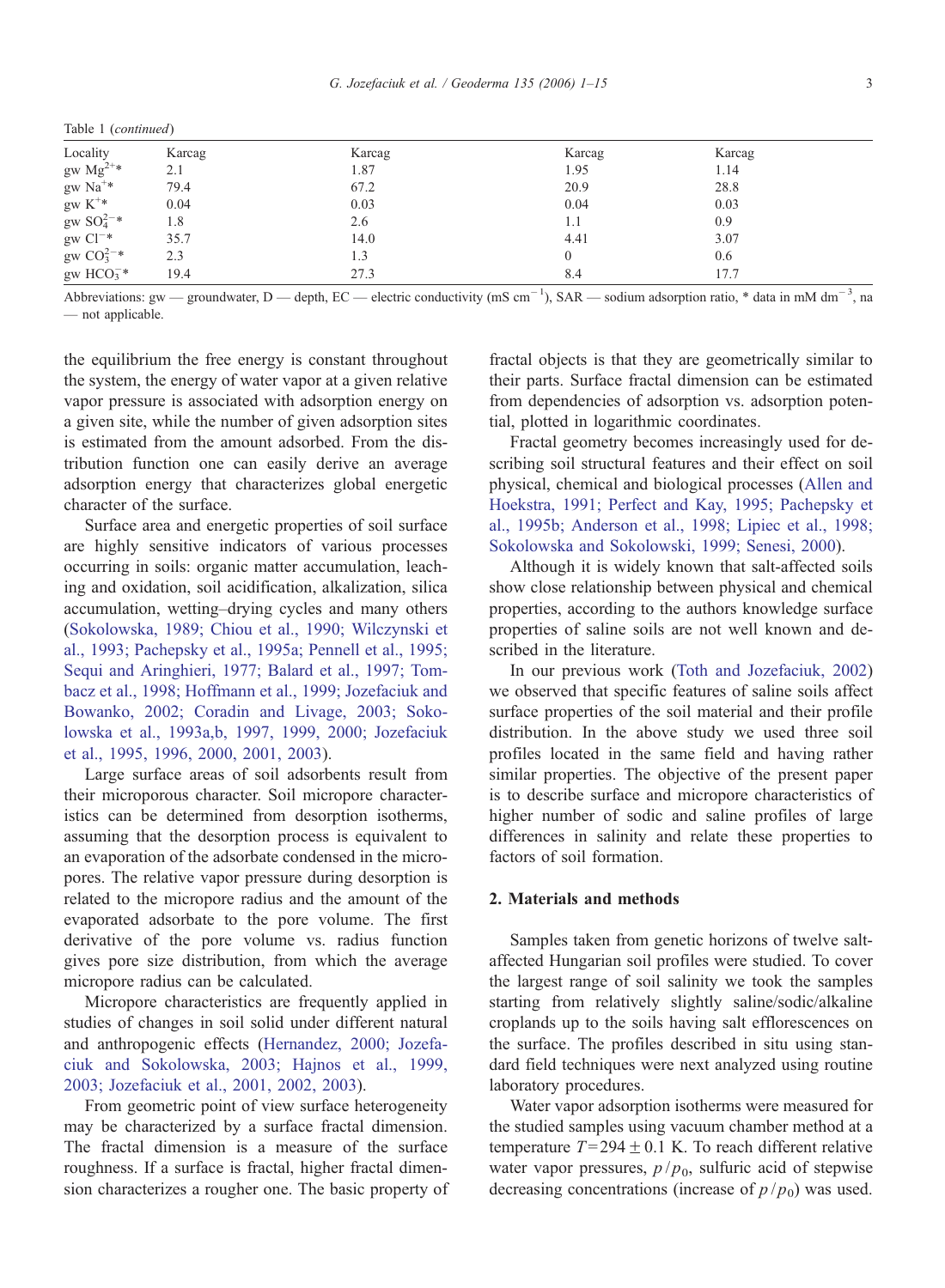Table 1 (continued)

| Locality                | Karcag | Karcag | Karcag         | Karcag |
|-------------------------|--------|--------|----------------|--------|
| $\text{gw Mg}^{2+\ast}$ | 2.1    | 1.87   | 1.95           | 1.14   |
| $gw$ Na <sup>+*</sup>   | 79.4   | 67.2   | 20.9           | 28.8   |
| $\rm gw~K^{+*}$         | 0.04   | 0.03   | 0.04           | 0.03   |
| $\rm gw \; SO_4^{2-*}$  | 1.8    | 2.6    | 1.1            | 0.9    |
| $\text{gw Cl}^{-*}$     | 35.7   | 14.0   | 4.41           | 3.07   |
| $\rm gw~CO_3^{2-*}$     | 2.3    | 1.3    | $\overline{0}$ | 0.6    |
| $\text{gw HCO}_3^{-*}$  | 19.4   | 27.3   | 8.4            | 17.7   |

Abbreviations: gw — groundwater, D — depth, EC — electric conductivity (mS cm<sup>-1</sup>), SAR — sodium adsorption ratio, \* data in mM dm<sup>-3</sup>, na — not applicable.

the equilibrium the free energy is constant throughout the system, the energy of water vapor at a given relative vapor pressure is associated with adsorption energy on a given site, while the number of given adsorption sites is estimated from the amount adsorbed. From the distribution function one can easily derive an average adsorption energy that characterizes global energetic character of the surface.

Surface area and energetic properties of soil surface are highly sensitive indicators of various processes occurring in soils: organic matter accumulation, leaching and oxidation, soil acidification, alkalization, silica accumulation, wetting–drying cycles and many others (S[okolowska, 1989; Chiou et al., 1990; Wilczynski et](#page-13-0) al., 1993; Pachepsky et al., 1995a; Pennell et al., 1995; Sequi and Aringhieri, 1977; Balard et al., 1997; Tombacz et al., 1998; Hoffmann et al., 1999; Jozefaciuk and Bowanko, 2002; Coradin and Livage, 2003; Sokolowska et al., 1993a,b, 1997, 1999, 2000; Jozefaciuk et al., 1995, 1996, 2000, 2001, 2003).

Large surface areas of soil adsorbents result from their microporous character. Soil micropore characteristics can be determined from desorption isotherms, assuming that the desorption process is equivalent to an evaporation of the adsorbate condensed in the micropores. The relative vapor pressure during desorption is related to the micropore radius and the amount of the evaporated adsorbate to the pore volume. The first derivative of the pore volume vs. radius function gives pore size distribution, from which the average micropore radius can be calculated.

Micropore characteristics are frequently applied in studies of changes in soil solid under different natural and anthropogenic effects ([Hernandez, 2000; Jozefa](#page-13-0)ciuk and Sokolowska, 2003; Hajnos et al., 1999, 2003; Jozefaciuk et al., 2001, 2002, 2003).

From geometric point of view surface heterogeneity may be characterized by a surface fractal dimension. The fractal dimension is a measure of the surface roughness. If a surface is fractal, higher fractal dimension characterizes a rougher one. The basic property of fractal objects is that they are geometrically similar to their parts. Surface fractal dimension can be estimated from dependencies of adsorption vs. adsorption potential, plotted in logarithmic coordinates.

Fractal geometry becomes increasingly used for describing soil structural features and their effect on soil physical, chemical and biological processes ([Allen and](#page-12-0) Hoekstra, 1991; Perfect and Kay, 1995; Pachepsky et al., 1995b; Anderson et al., 1998; Lipiec et al., 1998; Sokolowska and Sokolowski, 1999; Senesi, 2000).

Although it is widely known that salt-affected soils show close relationship between physical and chemical properties, according to the authors knowledge surface properties of saline soils are not well known and described in the literature.

In our previous work ([Toth and Jozefaciuk, 2002\)](#page-13-0) we observed that specific features of saline soils affect surface properties of the soil material and their profile distribution. In the above study we used three soil profiles located in the same field and having rather similar properties. The objective of the present paper is to describe surface and micropore characteristics of higher number of sodic and saline profiles of large differences in salinity and relate these properties to factors of soil formation.

## 2. Materials and methods

Samples taken from genetic horizons of twelve saltaffected Hungarian soil profiles were studied. To cover the largest range of soil salinity we took the samples starting from relatively slightly saline/sodic/alkaline croplands up to the soils having salt efflorescences on the surface. The profiles described in situ using standard field techniques were next analyzed using routine laboratory procedures.

Water vapor adsorption isotherms were measured for the studied samples using vacuum chamber method at a temperature  $T = 294 \pm 0.1$  K. To reach different relative water vapor pressures,  $p/p_0$ , sulfuric acid of stepwise decreasing concentrations (increase of  $p/p_0$ ) was used.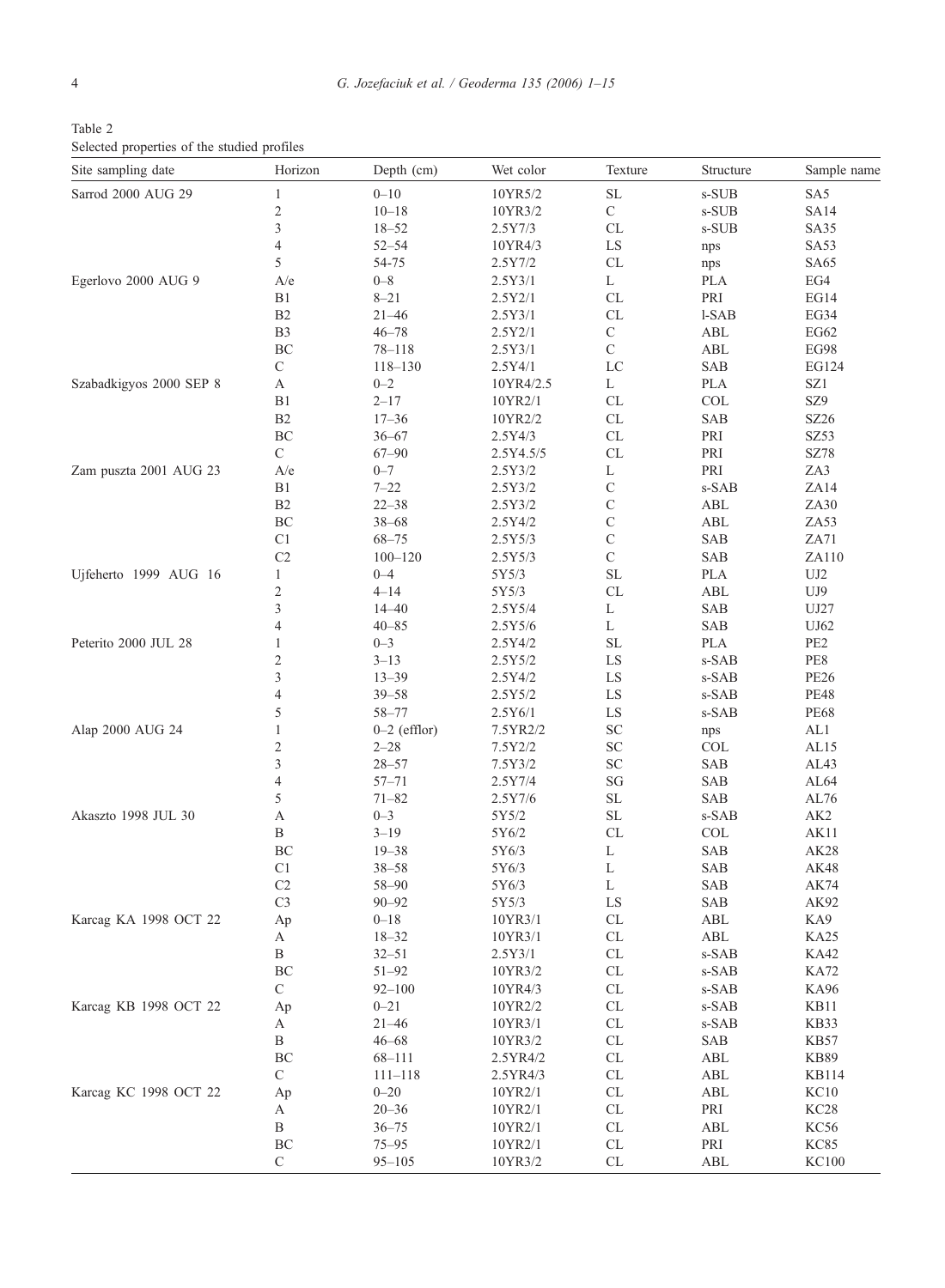<span id="page-3-0"></span>

| Table 2 |                                             |  |  |
|---------|---------------------------------------------|--|--|
|         | Selected properties of the studied profiles |  |  |

| Site sampling date      | Horizon             | Depth (cm)     | Wet color | Texture                           | Structure  | Sample name      |
|-------------------------|---------------------|----------------|-----------|-----------------------------------|------------|------------------|
| Sarrod 2000 AUG 29      | $\mathbf{1}$        | $0 - 10$       | 10YR5/2   | $\rm SL$                          | s-SUB      | SA5              |
|                         | $\overline{c}$      | $10 - 18$      | 10YR3/2   | $\mathbf C$                       | s-SUB      | SA14             |
|                         | 3                   | $18 - 52$      | 2.5Y7/3   | CL                                | s-SUB      | SA35             |
|                         | 4                   | $52 - 54$      | 10YR4/3   | LS                                | nps        | SA53             |
|                         | 5                   | 54-75          | 2.5Y7/2   | $\ensuremath{\textup{CL}}\xspace$ | nps        | SA65             |
| Egerlovo 2000 AUG 9     | A/e                 | $0 - 8$        | 2.5Y3/1   | L                                 | <b>PLA</b> | EG4              |
|                         | B1                  | $8 - 21$       | 2.5Y2/1   | <b>CL</b>                         | PRI        | EG14             |
|                         | B2                  | $21 - 46$      | 2.5Y3/1   | $\ensuremath{\textup{CL}}\xspace$ | $1-SAB$    | EG34             |
|                         | B <sub>3</sub>      | $46 - 78$      | 2.5Y2/1   | $\mathbf C$                       | ABL        | EG62             |
|                         | BC                  | $78 - 118$     | 2.5Y3/1   | $\mathbf C$                       | <b>ABL</b> | EG98             |
|                         | $\mathbf C$         | $118 - 130$    | 2.5Y4/1   | LC                                | <b>SAB</b> | EG124            |
| Szabadkigyos 2000 SEP 8 | А                   | $0 - 2$        | 10YR4/2.5 | L                                 | <b>PLA</b> | SZ1              |
|                         | B1                  | $2 - 17$       | 10YR2/1   | CL                                | <b>COL</b> | SZ9              |
|                         | B2                  | $17 - 36$      | 10YR2/2   | CL                                | <b>SAB</b> | SZ26             |
|                         | $\rm BC$            | $36 - 67$      | 2.5Y4/3   | CL                                | PRI        | SZ53             |
|                         | C                   | $67 - 90$      | 2.5Y4.5/5 | CL                                | PRI        | <b>SZ78</b>      |
| Zam puszta 2001 AUG 23  | A/e                 | $0 - 7$        | 2.5Y3/2   | L                                 | PRI        | ZA3              |
|                         | B1                  | $7 - 22$       | 2.5Y3/2   | $\mathbf C$                       | s-SAB      | ZA <sub>14</sub> |
|                         | B2                  |                | 2.5Y3/2   |                                   | ABL        |                  |
|                         |                     | $22 - 38$      |           | $\mathbf C$                       |            | ZA30             |
|                         | $\rm BC$            | $38 - 68$      | 2.5Y4/2   | $\mathcal{C}$                     | <b>ABL</b> | ZA53             |
|                         | C1                  | $68 - 75$      | 2.5Y5/3   | $\mathbf C$                       | <b>SAB</b> | ZA71             |
|                         | C <sub>2</sub>      | $100 - 120$    | 2.5Y5/3   | $\mathbf C$                       | <b>SAB</b> | ZA110            |
| Ujfeherto 1999 AUG 16   | $\mathbf{1}$        | $0 - 4$        | 5Y5/3     | $\rm SL$                          | <b>PLA</b> | UJ <sub>2</sub>  |
|                         | 2                   | $4 - 14$       | 5Y5/3     | $\ensuremath{\mathrm{CL}}\xspace$ | ABL        | UJ9              |
|                         | 3                   | $14 - 40$      | 2.5Y5/4   | L                                 | <b>SAB</b> | UJ27             |
|                         | 4                   | $40 - 85$      | 2.5Y5/6   | L                                 | <b>SAB</b> | UJ62             |
| Peterito 2000 JUL 28    | $\mathbf{1}$        | $0 - 3$        | 2.5Y4/2   | $\rm SL$                          | <b>PLA</b> | PE <sub>2</sub>  |
|                         | 2                   | $3 - 13$       | 2.5Y5/2   | LS                                | s-SAB      | PE8              |
|                         | 3                   | $13 - 39$      | 2.5Y4/2   | LS                                | s-SAB      | <b>PE26</b>      |
|                         | 4                   | $39 - 58$      | 2.5Y5/2   | LS                                | s-SAB      | <b>PE48</b>      |
|                         | 5                   | $58 - 77$      | 2.5Y6/1   | LS                                | s-SAB      | <b>PE68</b>      |
| Alap 2000 AUG 24        | 1                   | $0-2$ (efflor) | 7.5YR2/2  | <b>SC</b>                         | nps        | AL1              |
|                         | 2                   | $2 - 28$       | 7.5Y2/2   | <b>SC</b>                         | <b>COL</b> | AL15             |
|                         | 3                   | $28 - 57$      | 7.5Y3/2   | ${\rm SC}$                        | <b>SAB</b> | AL43             |
|                         | 4                   | $57 - 71$      | 2.5Y7/4   | SG                                | SAB        | AL64             |
|                         | 5                   | $71 - 82$      | 2.5Y7/6   | $\rm SL$                          | <b>SAB</b> | AL76             |
| Akaszto 1998 JUL 30     | А                   | $0 - 3$        | 5Y5/2     | $\rm SL$                          | s-SAB      | AK2              |
|                         | B                   | $3 - 19$       | 5Y6/2     | CL                                | <b>COL</b> | AK11             |
|                         | $\rm BC$            | $19 - 38$      | 5Y6/3     | L                                 | <b>SAB</b> | <b>AK28</b>      |
|                         | C1                  | $38 - 58$      | 5Y6/3     | L                                 | <b>SAB</b> | AK48             |
|                         | C <sub>2</sub>      | 58-90          | 5Y6/3     | L                                 | <b>SAB</b> | AK74             |
|                         | C <sub>3</sub>      | $90 - 92$      | 5Y5/3     | LS                                | <b>SAB</b> | AK92             |
| Karcag KA 1998 OCT 22   | Aр                  | $0 - 18$       | 10YR3/1   | CL                                | ABL        | KA9              |
|                         | А                   | $18 - 32$      | 10YR3/1   | CL                                | ABL        | KA25             |
|                         | $\, {\bf B}$        | $32 - 51$      | 2.5Y3/1   | $\ensuremath{\mathrm{CL}}\xspace$ | s-SAB      | <b>KA42</b>      |
|                         | $\operatorname{BC}$ | $51 - 92$      | 10YR3/2   | $\ensuremath{\mathrm{CL}}\xspace$ | s-SAB      | <b>KA72</b>      |
|                         | $\mathbf C$         | $92 - 100$     | 10YR4/3   | $\ensuremath{\mathrm{CL}}\xspace$ | s-SAB      | <b>KA96</b>      |
| Karcag KB 1998 OCT 22   | Ap                  | $0 - 21$       | 10YR2/2   | $\ensuremath{\mathrm{CL}}\xspace$ | s-SAB      | KB11             |
|                         | А                   | $21 - 46$      | 10YR3/1   | $\ensuremath{\mathrm{CL}}\xspace$ | s-SAB      | KB33             |
|                         | B                   | $46 - 68$      | 10YR3/2   | $\ensuremath{\text{CL}}\xspace$   | SAB        | <b>KB57</b>      |
|                         | BC                  | $68 - 111$     | 2.5YR4/2  | CL                                | ABL        | <b>KB89</b>      |
|                         | $\mathbf C$         | $111 - 118$    | 2.5YR4/3  | $\ensuremath{\text{CL}}\xspace$   | ABL        | <b>KB114</b>     |
| Karcag KC 1998 OCT 22   | Ap                  | $0 - 20$       | 10YR2/1   | CL                                | ABL        | KC10             |
|                         | A                   | $20 - 36$      | 10YR2/1   | $\ensuremath{\mathrm{CL}}\xspace$ | PRI        | KC28             |
|                         | B                   | $36 - 75$      | 10YR2/1   | CL                                | ABL        | <b>KC56</b>      |
|                         | $\operatorname{BC}$ | $75 - 95$      |           | $\ensuremath{\textup{CL}}\xspace$ | PRI        | KC85             |
|                         |                     |                | 10YR2/1   |                                   |            |                  |
|                         | $\mathsf C$         | $95 - 105$     | 10YR3/2   | CL                                | ABL        | <b>KC100</b>     |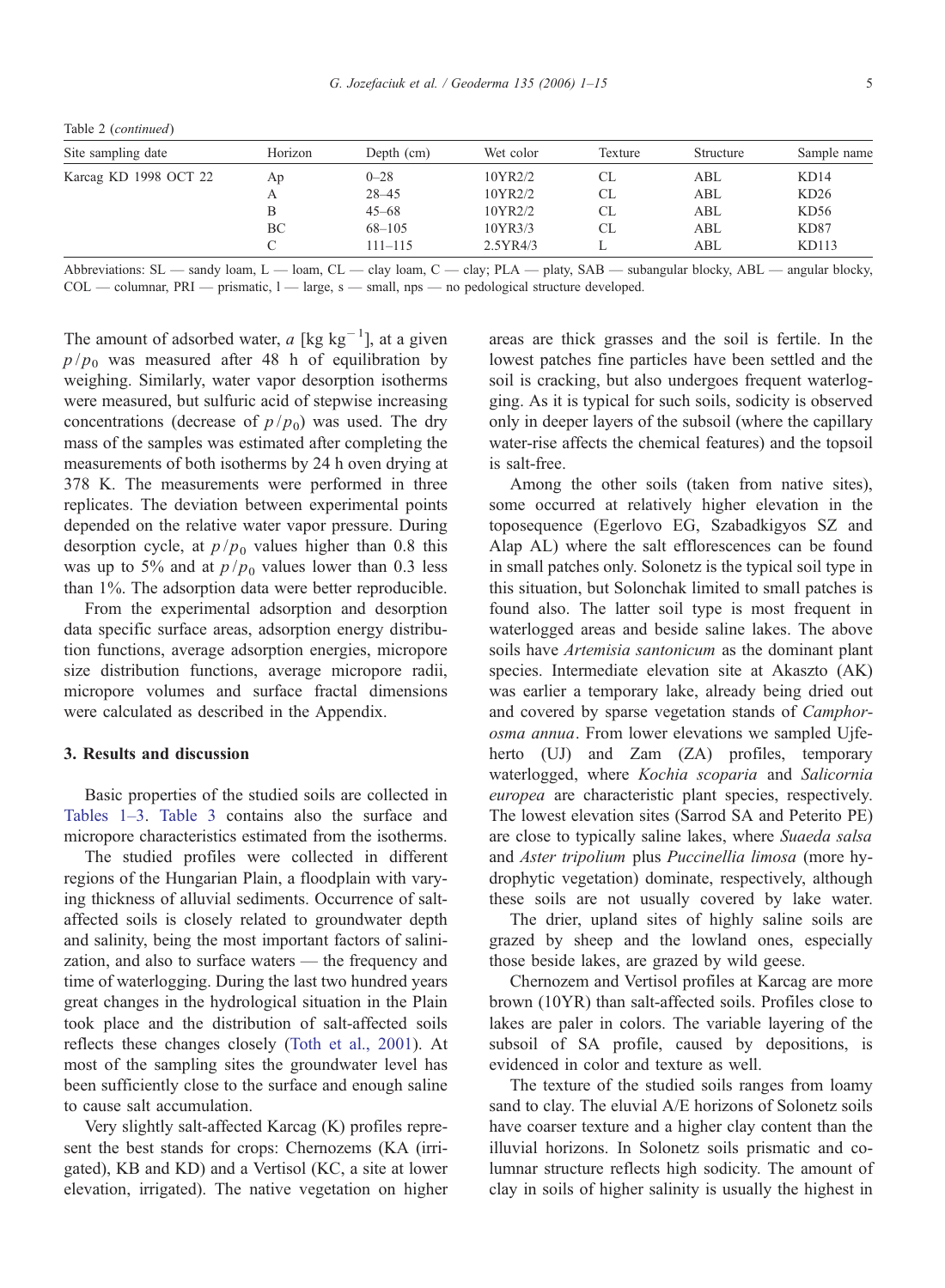Table 2 (continued)

| Site sampling date    | Horizon | Depth (cm)  | Wet color | Texture   | Structure | Sample name |
|-----------------------|---------|-------------|-----------|-----------|-----------|-------------|
| Karcag KD 1998 OCT 22 | Ap      | $0 - 28$    | 10YR2/2   | CL        | ABL       | KD14        |
|                       |         | $28 - 45$   | 10YR2/2   | СL        | ABL       | KD26        |
|                       |         | $45 - 68$   | 10YR2/2   | <b>CL</b> | ABL       | KD56        |
|                       | ВC      | $68 - 105$  | 10YR3/3   | <b>CL</b> | ABL       | KD87        |
|                       |         | $111 - 115$ | 2.5YR4/3  |           | ABL       | KD113       |

Abbreviations: SL — sandy loam, L — loam, CL — clay loam, C — clay; PLA — platy, SAB — subangular blocky, ABL — angular blocky, COL — columnar, PRI — prismatic, l — large, s — small, nps — no pedological structure developed.

The amount of adsorbed water,  $a$  [kg kg<sup>-1</sup>], at a given  $p/p_0$  was measured after 48 h of equilibration by weighing. Similarly, water vapor desorption isotherms were measured, but sulfuric acid of stepwise increasing concentrations (decrease of  $p/p_0$ ) was used. The dry mass of the samples was estimated after completing the measurements of both isotherms by 24 h oven drying at 378 K. The measurements were performed in three replicates. The deviation between experimental points depended on the relative water vapor pressure. During desorption cycle, at  $p/p_0$  values higher than 0.8 this was up to 5% and at  $p/p_0$  values lower than 0.3 less than 1%. The adsorption data were better reproducible.

From the experimental adsorption and desorption data specific surface areas, adsorption energy distribution functions, average adsorption energies, micropore size distribution functions, average micropore radii, micropore volumes and surface fractal dimensions were calculated as described in the Appendix.

#### 3. Results and discussion

Basic properties of the studied soils are collected in [Tables 1–3](#page-1-0). [Table 3](#page-5-0) contains also the surface and micropore characteristics estimated from the isotherms.

The studied profiles were collected in different regions of the Hungarian Plain, a floodplain with varying thickness of alluvial sediments. Occurrence of saltaffected soils is closely related to groundwater depth and salinity, being the most important factors of salinization, and also to surface waters — the frequency and time of waterlogging. During the last two hundred years great changes in the hydrological situation in the Plain took place and the distribution of salt-affected soils reflects these changes closely [\(Toth et al., 2001](#page-13-0)). At most of the sampling sites the groundwater level has been sufficiently close to the surface and enough saline to cause salt accumulation.

Very slightly salt-affected Karcag (K) profiles represent the best stands for crops: Chernozems (KA (irrigated), KB and KD) and a Vertisol (KC, a site at lower elevation, irrigated). The native vegetation on higher areas are thick grasses and the soil is fertile. In the lowest patches fine particles have been settled and the soil is cracking, but also undergoes frequent waterlogging. As it is typical for such soils, sodicity is observed only in deeper layers of the subsoil (where the capillary water-rise affects the chemical features) and the topsoil is salt-free.

Among the other soils (taken from native sites), some occurred at relatively higher elevation in the toposequence (Egerlovo EG, Szabadkigyos SZ and Alap AL) where the salt efflorescences can be found in small patches only. Solonetz is the typical soil type in this situation, but Solonchak limited to small patches is found also. The latter soil type is most frequent in waterlogged areas and beside saline lakes. The above soils have Artemisia santonicum as the dominant plant species. Intermediate elevation site at Akaszto (AK) was earlier a temporary lake, already being dried out and covered by sparse vegetation stands of Camphorosma annua. From lower elevations we sampled Ujfeherto (UJ) and Zam (ZA) profiles, temporary waterlogged, where Kochia scoparia and Salicornia europea are characteristic plant species, respectively. The lowest elevation sites (Sarrod SA and Peterito PE) are close to typically saline lakes, where Suaeda salsa and Aster tripolium plus Puccinellia limosa (more hydrophytic vegetation) dominate, respectively, although these soils are not usually covered by lake water.

The drier, upland sites of highly saline soils are grazed by sheep and the lowland ones, especially those beside lakes, are grazed by wild geese.

Chernozem and Vertisol profiles at Karcag are more brown (10YR) than salt-affected soils. Profiles close to lakes are paler in colors. The variable layering of the subsoil of SA profile, caused by depositions, is evidenced in color and texture as well.

The texture of the studied soils ranges from loamy sand to clay. The eluvial A/E horizons of Solonetz soils have coarser texture and a higher clay content than the illuvial horizons. In Solonetz soils prismatic and columnar structure reflects high sodicity. The amount of clay in soils of higher salinity is usually the highest in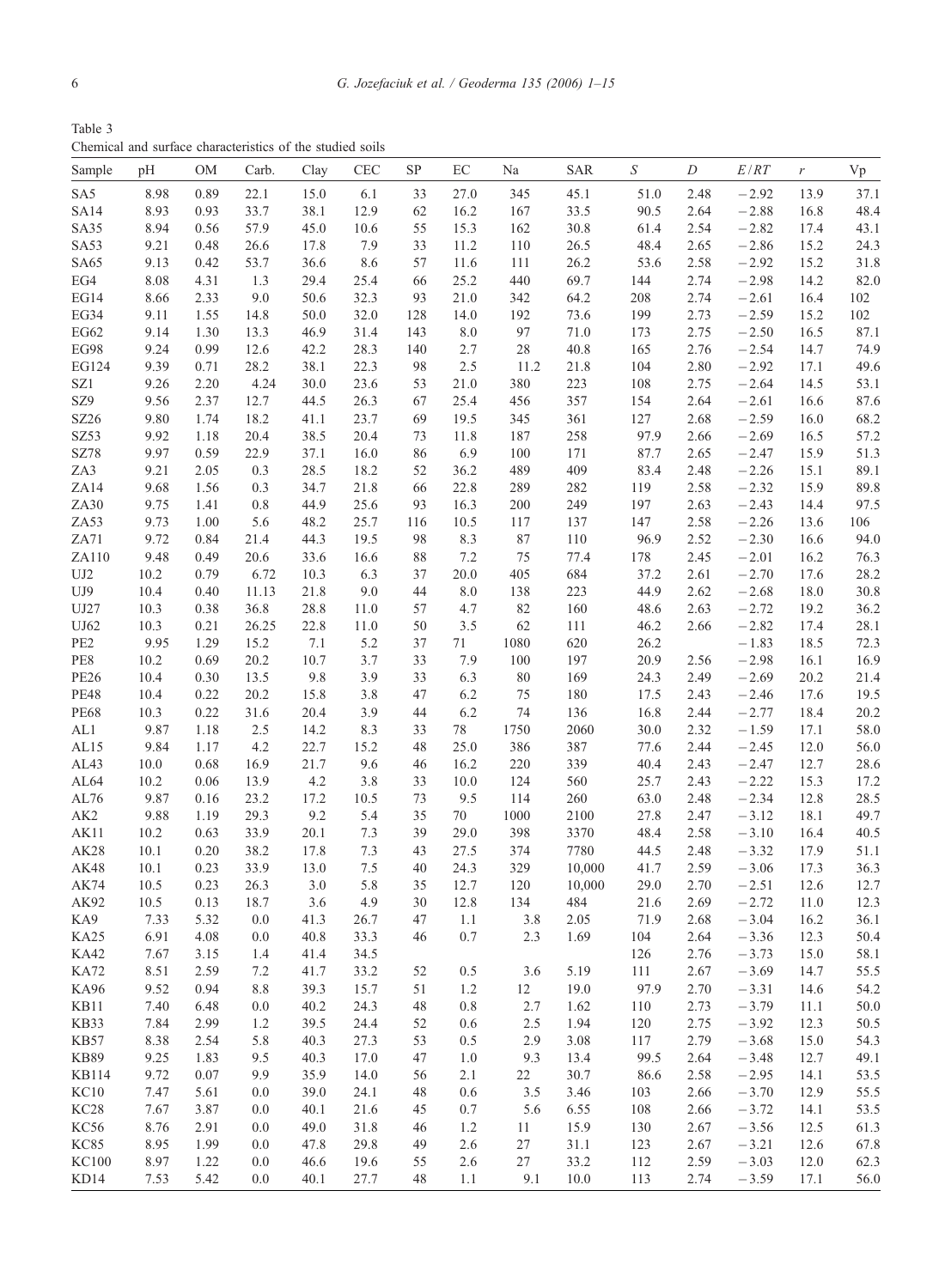<span id="page-5-0"></span>Table 3 Chemical and surface characteristics of the studied soils

| SA5<br>8.98<br>0.89<br>22.1<br>15.0<br>6.1<br>33<br>27.0<br>345<br>45.1<br>51.0<br>2.48<br>$-2.92$<br>13.9<br>8.93<br>33.7<br>12.9<br>62<br>167<br>33.5<br>90.5<br><b>SA14</b><br>0.93<br>38.1<br>16.2<br>2.64<br>$-2.88$<br>16.8<br>SA35<br>8.94<br>0.56<br>57.9<br>45.0<br>10.6<br>55<br>15.3<br>30.8<br>61.4<br>2.54<br>$-2.82$<br>17.4<br>162<br><b>SA53</b><br>9.21<br>7.9<br>33<br>26.5<br>48.4<br>$-2.86$<br>0.48<br>26.6<br>17.8<br>11.2<br>110<br>2.65<br>15.2<br>SA65<br>26.2<br>53.6<br>2.58<br>9.13<br>0.42<br>53.7<br>36.6<br>8.6<br>57<br>11.6<br>111<br>$-2.92$<br>15.2<br>EG4<br>8.08<br>4.31<br>1.3<br>29.4<br>25.4<br>25.2<br>440<br>69.7<br>2.74<br>$-2.98$<br>14.2<br>66<br>144<br>EG14<br>9.0<br>32.3<br>93<br>21.0<br>64.2<br>208<br>2.74<br>$-2.61$<br>8.66<br>2.33<br>50.6<br>342<br>16.4<br>EG34<br>32.0<br>192<br>73.6<br>199<br>2.73<br>9.11<br>1.55<br>14.8<br>50.0<br>128<br>14.0<br>$-2.59$<br>15.2<br>EG62<br>9.14<br>1.30<br>13.3<br>31.4<br>8.0<br>97<br>71.0<br>2.75<br>$-2.50$<br>46.9<br>143<br>173<br>16.5<br>EG98<br>9.24<br>0.99<br>12.6<br>28.3<br>2.7<br>28<br>40.8<br>165<br>2.76<br>$-2.54$<br>42.2<br>140<br>14.7<br>EG124<br>9.39<br>28.2<br>22.3<br>98<br>2.5<br>21.8<br>2.80<br>$-2.92$<br>0.71<br>38.1<br>11.2<br>104<br>17.1<br>9.26<br>2.20<br>4.24<br>23.6<br>21.0<br>380<br>223<br>108<br>2.75<br>$-2.64$<br>SZ1<br>30.0<br>53<br>14.5<br>SZ9<br>9.56<br>2.37<br>12.7<br>26.3<br>25.4<br>357<br>154<br>2.64<br>$-2.61$<br>44.5<br>67<br>456<br>16.6<br>SZ26<br>9.80<br>18.2<br>23.7<br>19.5<br>361<br>127<br>2.68<br>$-2.59$<br>1.74<br>41.1<br>69<br>345<br>16.0<br>97.9<br>SZ53<br>9.92<br>1.18<br>20.4<br>38.5<br>20.4<br>73<br>11.8<br>187<br>258<br>2.66<br>$-2.69$<br>16.5<br><b>SZ78</b><br>9.97<br>0.59<br>22.9<br>37.1<br>6.9<br>100<br>171<br>87.7<br>15.9<br>16.0<br>86<br>2.65<br>$-2.47$<br>ZA3<br>9.21<br>2.05<br>28.5<br>18.2<br>52<br>36.2<br>489<br>409<br>83.4<br>2.48<br>$-2.26$<br>15.1<br>0.3<br>289<br>282<br>2.58<br>ZA14<br>9.68<br>1.56<br>0.3<br>34.7<br>21.8<br>66<br>22.8<br>119<br>$-2.32$<br>15.9<br>ZA30<br>9.75<br>44.9<br>25.6<br>93<br>200<br>249<br>197<br>$-2.43$<br>1.41<br>0.8<br>16.3<br>2.63<br>14.4<br>ZA53<br>9.73<br>5.6<br>48.2<br>25.7<br>10.5<br>117<br>137<br>147<br>2.58<br>$-2.26$<br>1.00<br>116<br>13.6<br>9.72<br>19.5<br>98<br>8.3<br>87<br>110<br>96.9<br>2.52<br>$-2.30$<br>ZA71<br>0.84<br>21.4<br>44.3<br>16.6<br>9.48<br>0.49<br>20.6<br>7.2<br>75<br>77.4<br>178<br>2.45<br>$-2.01$<br>ZA110<br>33.6<br>16.6<br>88<br>16.2<br>0.79<br>20.0<br>405<br>684<br>37.2<br>2.61<br>$-2.70$<br>UJ <sub>2</sub><br>10.2<br>6.72<br>10.3<br>6.3<br>37<br>17.6<br>UJ9<br>21.8<br>9.0<br>44<br>8.0<br>223<br>44.9<br>10.4<br>0.40<br>11.13<br>138<br>2.62<br>$-2.68$<br>18.0<br>UJ27<br>10.3<br>0.38<br>36.8<br>28.8<br>57<br>4.7<br>82<br>160<br>48.6<br>$-2.72$<br>19.2<br>11.0<br>2.63<br>UJ62<br>10.3<br>26.25<br>22.8<br>11.0<br>3.5<br>62<br>111<br>46.2<br>2.66<br>$-2.82$<br>17.4<br>0.21<br>50<br>PE <sub>2</sub><br>9.95<br>1.29<br>7.1<br>5.2<br>37<br>71<br>1080<br>620<br>26.2<br>$-1.83$<br>18.5<br>15.2<br>PE8<br>10.2<br>0.69<br>20.2<br>10.7<br>3.7<br>33<br>7.9<br>100<br>197<br>20.9<br>$-2.98$<br>16.1<br>2.56<br><b>PE26</b><br>10.4<br>0.30<br>13.5<br>9.8<br>3.9<br>33<br>6.3<br>80<br>169<br>24.3<br>2.49<br>$-2.69$<br>20.2<br><b>PE48</b><br>0.22<br>20.2<br>15.8<br>3.8<br>47<br>6.2<br>75<br>180<br>17.5<br>10.4<br>2.43<br>$-2.46$<br>17.6<br><b>PE68</b><br>10.3<br>0.22<br>31.6<br>20.4<br>3.9<br>6.2<br>74<br>136<br>$-2.77$<br>44<br>16.8<br>2.44<br>18.4 | Sample | pН   | <b>OM</b> | Carb. | Clay | <b>CEC</b> | <b>SP</b> | EC | Na   | <b>SAR</b> | $\boldsymbol{S}$ | D    | E/RT    | $\boldsymbol{r}$ | Vp   |
|-----------------------------------------------------------------------------------------------------------------------------------------------------------------------------------------------------------------------------------------------------------------------------------------------------------------------------------------------------------------------------------------------------------------------------------------------------------------------------------------------------------------------------------------------------------------------------------------------------------------------------------------------------------------------------------------------------------------------------------------------------------------------------------------------------------------------------------------------------------------------------------------------------------------------------------------------------------------------------------------------------------------------------------------------------------------------------------------------------------------------------------------------------------------------------------------------------------------------------------------------------------------------------------------------------------------------------------------------------------------------------------------------------------------------------------------------------------------------------------------------------------------------------------------------------------------------------------------------------------------------------------------------------------------------------------------------------------------------------------------------------------------------------------------------------------------------------------------------------------------------------------------------------------------------------------------------------------------------------------------------------------------------------------------------------------------------------------------------------------------------------------------------------------------------------------------------------------------------------------------------------------------------------------------------------------------------------------------------------------------------------------------------------------------------------------------------------------------------------------------------------------------------------------------------------------------------------------------------------------------------------------------------------------------------------------------------------------------------------------------------------------------------------------------------------------------------------------------------------------------------------------------------------------------------------------------------------------------------------------------------------------------------------------------------------------------------------------------------------------------------------------------------------------------------------------------------------------------------------------------------------------------------------------------------------------------------------------------------------------------------------------------------------------------------------------------------------------------------------------------------------------------------------------------------------------------------------------------------|--------|------|-----------|-------|------|------------|-----------|----|------|------------|------------------|------|---------|------------------|------|
|                                                                                                                                                                                                                                                                                                                                                                                                                                                                                                                                                                                                                                                                                                                                                                                                                                                                                                                                                                                                                                                                                                                                                                                                                                                                                                                                                                                                                                                                                                                                                                                                                                                                                                                                                                                                                                                                                                                                                                                                                                                                                                                                                                                                                                                                                                                                                                                                                                                                                                                                                                                                                                                                                                                                                                                                                                                                                                                                                                                                                                                                                                                                                                                                                                                                                                                                                                                                                                                                                                                                                                                               |        |      |           |       |      |            |           |    |      |            |                  |      |         |                  | 37.1 |
|                                                                                                                                                                                                                                                                                                                                                                                                                                                                                                                                                                                                                                                                                                                                                                                                                                                                                                                                                                                                                                                                                                                                                                                                                                                                                                                                                                                                                                                                                                                                                                                                                                                                                                                                                                                                                                                                                                                                                                                                                                                                                                                                                                                                                                                                                                                                                                                                                                                                                                                                                                                                                                                                                                                                                                                                                                                                                                                                                                                                                                                                                                                                                                                                                                                                                                                                                                                                                                                                                                                                                                                               |        |      |           |       |      |            |           |    |      |            |                  |      |         |                  | 48.4 |
|                                                                                                                                                                                                                                                                                                                                                                                                                                                                                                                                                                                                                                                                                                                                                                                                                                                                                                                                                                                                                                                                                                                                                                                                                                                                                                                                                                                                                                                                                                                                                                                                                                                                                                                                                                                                                                                                                                                                                                                                                                                                                                                                                                                                                                                                                                                                                                                                                                                                                                                                                                                                                                                                                                                                                                                                                                                                                                                                                                                                                                                                                                                                                                                                                                                                                                                                                                                                                                                                                                                                                                                               |        |      |           |       |      |            |           |    |      |            |                  |      |         |                  | 43.1 |
|                                                                                                                                                                                                                                                                                                                                                                                                                                                                                                                                                                                                                                                                                                                                                                                                                                                                                                                                                                                                                                                                                                                                                                                                                                                                                                                                                                                                                                                                                                                                                                                                                                                                                                                                                                                                                                                                                                                                                                                                                                                                                                                                                                                                                                                                                                                                                                                                                                                                                                                                                                                                                                                                                                                                                                                                                                                                                                                                                                                                                                                                                                                                                                                                                                                                                                                                                                                                                                                                                                                                                                                               |        |      |           |       |      |            |           |    |      |            |                  |      |         |                  | 24.3 |
|                                                                                                                                                                                                                                                                                                                                                                                                                                                                                                                                                                                                                                                                                                                                                                                                                                                                                                                                                                                                                                                                                                                                                                                                                                                                                                                                                                                                                                                                                                                                                                                                                                                                                                                                                                                                                                                                                                                                                                                                                                                                                                                                                                                                                                                                                                                                                                                                                                                                                                                                                                                                                                                                                                                                                                                                                                                                                                                                                                                                                                                                                                                                                                                                                                                                                                                                                                                                                                                                                                                                                                                               |        |      |           |       |      |            |           |    |      |            |                  |      |         |                  | 31.8 |
|                                                                                                                                                                                                                                                                                                                                                                                                                                                                                                                                                                                                                                                                                                                                                                                                                                                                                                                                                                                                                                                                                                                                                                                                                                                                                                                                                                                                                                                                                                                                                                                                                                                                                                                                                                                                                                                                                                                                                                                                                                                                                                                                                                                                                                                                                                                                                                                                                                                                                                                                                                                                                                                                                                                                                                                                                                                                                                                                                                                                                                                                                                                                                                                                                                                                                                                                                                                                                                                                                                                                                                                               |        |      |           |       |      |            |           |    |      |            |                  |      |         |                  | 82.0 |
|                                                                                                                                                                                                                                                                                                                                                                                                                                                                                                                                                                                                                                                                                                                                                                                                                                                                                                                                                                                                                                                                                                                                                                                                                                                                                                                                                                                                                                                                                                                                                                                                                                                                                                                                                                                                                                                                                                                                                                                                                                                                                                                                                                                                                                                                                                                                                                                                                                                                                                                                                                                                                                                                                                                                                                                                                                                                                                                                                                                                                                                                                                                                                                                                                                                                                                                                                                                                                                                                                                                                                                                               |        |      |           |       |      |            |           |    |      |            |                  |      |         |                  | 102  |
|                                                                                                                                                                                                                                                                                                                                                                                                                                                                                                                                                                                                                                                                                                                                                                                                                                                                                                                                                                                                                                                                                                                                                                                                                                                                                                                                                                                                                                                                                                                                                                                                                                                                                                                                                                                                                                                                                                                                                                                                                                                                                                                                                                                                                                                                                                                                                                                                                                                                                                                                                                                                                                                                                                                                                                                                                                                                                                                                                                                                                                                                                                                                                                                                                                                                                                                                                                                                                                                                                                                                                                                               |        |      |           |       |      |            |           |    |      |            |                  |      |         |                  | 102  |
|                                                                                                                                                                                                                                                                                                                                                                                                                                                                                                                                                                                                                                                                                                                                                                                                                                                                                                                                                                                                                                                                                                                                                                                                                                                                                                                                                                                                                                                                                                                                                                                                                                                                                                                                                                                                                                                                                                                                                                                                                                                                                                                                                                                                                                                                                                                                                                                                                                                                                                                                                                                                                                                                                                                                                                                                                                                                                                                                                                                                                                                                                                                                                                                                                                                                                                                                                                                                                                                                                                                                                                                               |        |      |           |       |      |            |           |    |      |            |                  |      |         |                  | 87.1 |
|                                                                                                                                                                                                                                                                                                                                                                                                                                                                                                                                                                                                                                                                                                                                                                                                                                                                                                                                                                                                                                                                                                                                                                                                                                                                                                                                                                                                                                                                                                                                                                                                                                                                                                                                                                                                                                                                                                                                                                                                                                                                                                                                                                                                                                                                                                                                                                                                                                                                                                                                                                                                                                                                                                                                                                                                                                                                                                                                                                                                                                                                                                                                                                                                                                                                                                                                                                                                                                                                                                                                                                                               |        |      |           |       |      |            |           |    |      |            |                  |      |         |                  | 74.9 |
|                                                                                                                                                                                                                                                                                                                                                                                                                                                                                                                                                                                                                                                                                                                                                                                                                                                                                                                                                                                                                                                                                                                                                                                                                                                                                                                                                                                                                                                                                                                                                                                                                                                                                                                                                                                                                                                                                                                                                                                                                                                                                                                                                                                                                                                                                                                                                                                                                                                                                                                                                                                                                                                                                                                                                                                                                                                                                                                                                                                                                                                                                                                                                                                                                                                                                                                                                                                                                                                                                                                                                                                               |        |      |           |       |      |            |           |    |      |            |                  |      |         |                  | 49.6 |
|                                                                                                                                                                                                                                                                                                                                                                                                                                                                                                                                                                                                                                                                                                                                                                                                                                                                                                                                                                                                                                                                                                                                                                                                                                                                                                                                                                                                                                                                                                                                                                                                                                                                                                                                                                                                                                                                                                                                                                                                                                                                                                                                                                                                                                                                                                                                                                                                                                                                                                                                                                                                                                                                                                                                                                                                                                                                                                                                                                                                                                                                                                                                                                                                                                                                                                                                                                                                                                                                                                                                                                                               |        |      |           |       |      |            |           |    |      |            |                  |      |         |                  | 53.1 |
|                                                                                                                                                                                                                                                                                                                                                                                                                                                                                                                                                                                                                                                                                                                                                                                                                                                                                                                                                                                                                                                                                                                                                                                                                                                                                                                                                                                                                                                                                                                                                                                                                                                                                                                                                                                                                                                                                                                                                                                                                                                                                                                                                                                                                                                                                                                                                                                                                                                                                                                                                                                                                                                                                                                                                                                                                                                                                                                                                                                                                                                                                                                                                                                                                                                                                                                                                                                                                                                                                                                                                                                               |        |      |           |       |      |            |           |    |      |            |                  |      |         |                  | 87.6 |
|                                                                                                                                                                                                                                                                                                                                                                                                                                                                                                                                                                                                                                                                                                                                                                                                                                                                                                                                                                                                                                                                                                                                                                                                                                                                                                                                                                                                                                                                                                                                                                                                                                                                                                                                                                                                                                                                                                                                                                                                                                                                                                                                                                                                                                                                                                                                                                                                                                                                                                                                                                                                                                                                                                                                                                                                                                                                                                                                                                                                                                                                                                                                                                                                                                                                                                                                                                                                                                                                                                                                                                                               |        |      |           |       |      |            |           |    |      |            |                  |      |         |                  | 68.2 |
|                                                                                                                                                                                                                                                                                                                                                                                                                                                                                                                                                                                                                                                                                                                                                                                                                                                                                                                                                                                                                                                                                                                                                                                                                                                                                                                                                                                                                                                                                                                                                                                                                                                                                                                                                                                                                                                                                                                                                                                                                                                                                                                                                                                                                                                                                                                                                                                                                                                                                                                                                                                                                                                                                                                                                                                                                                                                                                                                                                                                                                                                                                                                                                                                                                                                                                                                                                                                                                                                                                                                                                                               |        |      |           |       |      |            |           |    |      |            |                  |      |         |                  | 57.2 |
|                                                                                                                                                                                                                                                                                                                                                                                                                                                                                                                                                                                                                                                                                                                                                                                                                                                                                                                                                                                                                                                                                                                                                                                                                                                                                                                                                                                                                                                                                                                                                                                                                                                                                                                                                                                                                                                                                                                                                                                                                                                                                                                                                                                                                                                                                                                                                                                                                                                                                                                                                                                                                                                                                                                                                                                                                                                                                                                                                                                                                                                                                                                                                                                                                                                                                                                                                                                                                                                                                                                                                                                               |        |      |           |       |      |            |           |    |      |            |                  |      |         |                  | 51.3 |
|                                                                                                                                                                                                                                                                                                                                                                                                                                                                                                                                                                                                                                                                                                                                                                                                                                                                                                                                                                                                                                                                                                                                                                                                                                                                                                                                                                                                                                                                                                                                                                                                                                                                                                                                                                                                                                                                                                                                                                                                                                                                                                                                                                                                                                                                                                                                                                                                                                                                                                                                                                                                                                                                                                                                                                                                                                                                                                                                                                                                                                                                                                                                                                                                                                                                                                                                                                                                                                                                                                                                                                                               |        |      |           |       |      |            |           |    |      |            |                  |      |         |                  | 89.1 |
|                                                                                                                                                                                                                                                                                                                                                                                                                                                                                                                                                                                                                                                                                                                                                                                                                                                                                                                                                                                                                                                                                                                                                                                                                                                                                                                                                                                                                                                                                                                                                                                                                                                                                                                                                                                                                                                                                                                                                                                                                                                                                                                                                                                                                                                                                                                                                                                                                                                                                                                                                                                                                                                                                                                                                                                                                                                                                                                                                                                                                                                                                                                                                                                                                                                                                                                                                                                                                                                                                                                                                                                               |        |      |           |       |      |            |           |    |      |            |                  |      |         |                  | 89.8 |
|                                                                                                                                                                                                                                                                                                                                                                                                                                                                                                                                                                                                                                                                                                                                                                                                                                                                                                                                                                                                                                                                                                                                                                                                                                                                                                                                                                                                                                                                                                                                                                                                                                                                                                                                                                                                                                                                                                                                                                                                                                                                                                                                                                                                                                                                                                                                                                                                                                                                                                                                                                                                                                                                                                                                                                                                                                                                                                                                                                                                                                                                                                                                                                                                                                                                                                                                                                                                                                                                                                                                                                                               |        |      |           |       |      |            |           |    |      |            |                  |      |         |                  | 97.5 |
|                                                                                                                                                                                                                                                                                                                                                                                                                                                                                                                                                                                                                                                                                                                                                                                                                                                                                                                                                                                                                                                                                                                                                                                                                                                                                                                                                                                                                                                                                                                                                                                                                                                                                                                                                                                                                                                                                                                                                                                                                                                                                                                                                                                                                                                                                                                                                                                                                                                                                                                                                                                                                                                                                                                                                                                                                                                                                                                                                                                                                                                                                                                                                                                                                                                                                                                                                                                                                                                                                                                                                                                               |        |      |           |       |      |            |           |    |      |            |                  |      |         |                  | 106  |
|                                                                                                                                                                                                                                                                                                                                                                                                                                                                                                                                                                                                                                                                                                                                                                                                                                                                                                                                                                                                                                                                                                                                                                                                                                                                                                                                                                                                                                                                                                                                                                                                                                                                                                                                                                                                                                                                                                                                                                                                                                                                                                                                                                                                                                                                                                                                                                                                                                                                                                                                                                                                                                                                                                                                                                                                                                                                                                                                                                                                                                                                                                                                                                                                                                                                                                                                                                                                                                                                                                                                                                                               |        |      |           |       |      |            |           |    |      |            |                  |      |         |                  | 94.0 |
|                                                                                                                                                                                                                                                                                                                                                                                                                                                                                                                                                                                                                                                                                                                                                                                                                                                                                                                                                                                                                                                                                                                                                                                                                                                                                                                                                                                                                                                                                                                                                                                                                                                                                                                                                                                                                                                                                                                                                                                                                                                                                                                                                                                                                                                                                                                                                                                                                                                                                                                                                                                                                                                                                                                                                                                                                                                                                                                                                                                                                                                                                                                                                                                                                                                                                                                                                                                                                                                                                                                                                                                               |        |      |           |       |      |            |           |    |      |            |                  |      |         |                  | 76.3 |
|                                                                                                                                                                                                                                                                                                                                                                                                                                                                                                                                                                                                                                                                                                                                                                                                                                                                                                                                                                                                                                                                                                                                                                                                                                                                                                                                                                                                                                                                                                                                                                                                                                                                                                                                                                                                                                                                                                                                                                                                                                                                                                                                                                                                                                                                                                                                                                                                                                                                                                                                                                                                                                                                                                                                                                                                                                                                                                                                                                                                                                                                                                                                                                                                                                                                                                                                                                                                                                                                                                                                                                                               |        |      |           |       |      |            |           |    |      |            |                  |      |         |                  | 28.2 |
|                                                                                                                                                                                                                                                                                                                                                                                                                                                                                                                                                                                                                                                                                                                                                                                                                                                                                                                                                                                                                                                                                                                                                                                                                                                                                                                                                                                                                                                                                                                                                                                                                                                                                                                                                                                                                                                                                                                                                                                                                                                                                                                                                                                                                                                                                                                                                                                                                                                                                                                                                                                                                                                                                                                                                                                                                                                                                                                                                                                                                                                                                                                                                                                                                                                                                                                                                                                                                                                                                                                                                                                               |        |      |           |       |      |            |           |    |      |            |                  |      |         |                  | 30.8 |
|                                                                                                                                                                                                                                                                                                                                                                                                                                                                                                                                                                                                                                                                                                                                                                                                                                                                                                                                                                                                                                                                                                                                                                                                                                                                                                                                                                                                                                                                                                                                                                                                                                                                                                                                                                                                                                                                                                                                                                                                                                                                                                                                                                                                                                                                                                                                                                                                                                                                                                                                                                                                                                                                                                                                                                                                                                                                                                                                                                                                                                                                                                                                                                                                                                                                                                                                                                                                                                                                                                                                                                                               |        |      |           |       |      |            |           |    |      |            |                  |      |         |                  | 36.2 |
|                                                                                                                                                                                                                                                                                                                                                                                                                                                                                                                                                                                                                                                                                                                                                                                                                                                                                                                                                                                                                                                                                                                                                                                                                                                                                                                                                                                                                                                                                                                                                                                                                                                                                                                                                                                                                                                                                                                                                                                                                                                                                                                                                                                                                                                                                                                                                                                                                                                                                                                                                                                                                                                                                                                                                                                                                                                                                                                                                                                                                                                                                                                                                                                                                                                                                                                                                                                                                                                                                                                                                                                               |        |      |           |       |      |            |           |    |      |            |                  |      |         |                  | 28.1 |
|                                                                                                                                                                                                                                                                                                                                                                                                                                                                                                                                                                                                                                                                                                                                                                                                                                                                                                                                                                                                                                                                                                                                                                                                                                                                                                                                                                                                                                                                                                                                                                                                                                                                                                                                                                                                                                                                                                                                                                                                                                                                                                                                                                                                                                                                                                                                                                                                                                                                                                                                                                                                                                                                                                                                                                                                                                                                                                                                                                                                                                                                                                                                                                                                                                                                                                                                                                                                                                                                                                                                                                                               |        |      |           |       |      |            |           |    |      |            |                  |      |         |                  | 72.3 |
|                                                                                                                                                                                                                                                                                                                                                                                                                                                                                                                                                                                                                                                                                                                                                                                                                                                                                                                                                                                                                                                                                                                                                                                                                                                                                                                                                                                                                                                                                                                                                                                                                                                                                                                                                                                                                                                                                                                                                                                                                                                                                                                                                                                                                                                                                                                                                                                                                                                                                                                                                                                                                                                                                                                                                                                                                                                                                                                                                                                                                                                                                                                                                                                                                                                                                                                                                                                                                                                                                                                                                                                               |        |      |           |       |      |            |           |    |      |            |                  |      |         |                  | 16.9 |
|                                                                                                                                                                                                                                                                                                                                                                                                                                                                                                                                                                                                                                                                                                                                                                                                                                                                                                                                                                                                                                                                                                                                                                                                                                                                                                                                                                                                                                                                                                                                                                                                                                                                                                                                                                                                                                                                                                                                                                                                                                                                                                                                                                                                                                                                                                                                                                                                                                                                                                                                                                                                                                                                                                                                                                                                                                                                                                                                                                                                                                                                                                                                                                                                                                                                                                                                                                                                                                                                                                                                                                                               |        |      |           |       |      |            |           |    |      |            |                  |      |         |                  | 21.4 |
|                                                                                                                                                                                                                                                                                                                                                                                                                                                                                                                                                                                                                                                                                                                                                                                                                                                                                                                                                                                                                                                                                                                                                                                                                                                                                                                                                                                                                                                                                                                                                                                                                                                                                                                                                                                                                                                                                                                                                                                                                                                                                                                                                                                                                                                                                                                                                                                                                                                                                                                                                                                                                                                                                                                                                                                                                                                                                                                                                                                                                                                                                                                                                                                                                                                                                                                                                                                                                                                                                                                                                                                               |        |      |           |       |      |            |           |    |      |            |                  |      |         |                  | 19.5 |
|                                                                                                                                                                                                                                                                                                                                                                                                                                                                                                                                                                                                                                                                                                                                                                                                                                                                                                                                                                                                                                                                                                                                                                                                                                                                                                                                                                                                                                                                                                                                                                                                                                                                                                                                                                                                                                                                                                                                                                                                                                                                                                                                                                                                                                                                                                                                                                                                                                                                                                                                                                                                                                                                                                                                                                                                                                                                                                                                                                                                                                                                                                                                                                                                                                                                                                                                                                                                                                                                                                                                                                                               |        |      |           |       |      |            |           |    |      |            |                  |      |         |                  | 20.2 |
|                                                                                                                                                                                                                                                                                                                                                                                                                                                                                                                                                                                                                                                                                                                                                                                                                                                                                                                                                                                                                                                                                                                                                                                                                                                                                                                                                                                                                                                                                                                                                                                                                                                                                                                                                                                                                                                                                                                                                                                                                                                                                                                                                                                                                                                                                                                                                                                                                                                                                                                                                                                                                                                                                                                                                                                                                                                                                                                                                                                                                                                                                                                                                                                                                                                                                                                                                                                                                                                                                                                                                                                               | AL1    | 9.87 | 1.18      | 2.5   | 14.2 | 8.3        | 33        | 78 | 1750 | 2060       | 30.0             | 2.32 | $-1.59$ | 17.1             | 58.0 |
| 9.84<br>1.17<br>4.2<br>22.7<br>15.2<br>48<br>25.0<br>386<br>387<br>77.6<br>2.44<br>$-2.45$<br>AL15<br>12.0                                                                                                                                                                                                                                                                                                                                                                                                                                                                                                                                                                                                                                                                                                                                                                                                                                                                                                                                                                                                                                                                                                                                                                                                                                                                                                                                                                                                                                                                                                                                                                                                                                                                                                                                                                                                                                                                                                                                                                                                                                                                                                                                                                                                                                                                                                                                                                                                                                                                                                                                                                                                                                                                                                                                                                                                                                                                                                                                                                                                                                                                                                                                                                                                                                                                                                                                                                                                                                                                                    |        |      |           |       |      |            |           |    |      |            |                  |      |         |                  | 56.0 |
| AL43<br>10.0<br>0.68<br>16.9<br>21.7<br>9.6<br>16.2<br>220<br>339<br>40.4<br>$-2.47$<br>12.7<br>46<br>2.43                                                                                                                                                                                                                                                                                                                                                                                                                                                                                                                                                                                                                                                                                                                                                                                                                                                                                                                                                                                                                                                                                                                                                                                                                                                                                                                                                                                                                                                                                                                                                                                                                                                                                                                                                                                                                                                                                                                                                                                                                                                                                                                                                                                                                                                                                                                                                                                                                                                                                                                                                                                                                                                                                                                                                                                                                                                                                                                                                                                                                                                                                                                                                                                                                                                                                                                                                                                                                                                                                    |        |      |           |       |      |            |           |    |      |            |                  |      |         |                  | 28.6 |
| AL64<br>4.2<br>3.8<br>124<br>560<br>$-2.22$<br>15.3<br>10.2<br>0.06<br>13.9<br>33<br>10.0<br>25.7<br>2.43                                                                                                                                                                                                                                                                                                                                                                                                                                                                                                                                                                                                                                                                                                                                                                                                                                                                                                                                                                                                                                                                                                                                                                                                                                                                                                                                                                                                                                                                                                                                                                                                                                                                                                                                                                                                                                                                                                                                                                                                                                                                                                                                                                                                                                                                                                                                                                                                                                                                                                                                                                                                                                                                                                                                                                                                                                                                                                                                                                                                                                                                                                                                                                                                                                                                                                                                                                                                                                                                                     |        |      |           |       |      |            |           |    |      |            |                  |      |         |                  | 17.2 |
| AL76<br>9.87<br>23.2<br>17.2<br>73<br>9.5<br>114<br>260<br>$-2.34$<br>12.8<br>0.16<br>10.5<br>63.0<br>2.48                                                                                                                                                                                                                                                                                                                                                                                                                                                                                                                                                                                                                                                                                                                                                                                                                                                                                                                                                                                                                                                                                                                                                                                                                                                                                                                                                                                                                                                                                                                                                                                                                                                                                                                                                                                                                                                                                                                                                                                                                                                                                                                                                                                                                                                                                                                                                                                                                                                                                                                                                                                                                                                                                                                                                                                                                                                                                                                                                                                                                                                                                                                                                                                                                                                                                                                                                                                                                                                                                    |        |      |           |       |      |            |           |    |      |            |                  |      |         |                  | 28.5 |
| 9.88<br>29.3<br>9.2<br>5.4<br>35<br>70<br>1000<br>2100<br>27.8<br>$-3.12$<br>AK2<br>1.19<br>2.47<br>18.1                                                                                                                                                                                                                                                                                                                                                                                                                                                                                                                                                                                                                                                                                                                                                                                                                                                                                                                                                                                                                                                                                                                                                                                                                                                                                                                                                                                                                                                                                                                                                                                                                                                                                                                                                                                                                                                                                                                                                                                                                                                                                                                                                                                                                                                                                                                                                                                                                                                                                                                                                                                                                                                                                                                                                                                                                                                                                                                                                                                                                                                                                                                                                                                                                                                                                                                                                                                                                                                                                      |        |      |           |       |      |            |           |    |      |            |                  |      |         |                  | 49.7 |
| 33.9<br>20.1<br>7.3<br>39<br>398<br>3370<br>48.4<br>2.58<br>$-3.10$<br>AK11<br>10.2<br>0.63<br>29.0<br>16.4                                                                                                                                                                                                                                                                                                                                                                                                                                                                                                                                                                                                                                                                                                                                                                                                                                                                                                                                                                                                                                                                                                                                                                                                                                                                                                                                                                                                                                                                                                                                                                                                                                                                                                                                                                                                                                                                                                                                                                                                                                                                                                                                                                                                                                                                                                                                                                                                                                                                                                                                                                                                                                                                                                                                                                                                                                                                                                                                                                                                                                                                                                                                                                                                                                                                                                                                                                                                                                                                                   |        |      |           |       |      |            |           |    |      |            |                  |      |         |                  | 40.5 |
| 7780<br>0.20<br>38.2<br>7.3<br>43<br>27.5<br>374<br>44.5<br>2.48<br>$-3.32$<br>17.9<br>AK28<br>10.1<br>17.8                                                                                                                                                                                                                                                                                                                                                                                                                                                                                                                                                                                                                                                                                                                                                                                                                                                                                                                                                                                                                                                                                                                                                                                                                                                                                                                                                                                                                                                                                                                                                                                                                                                                                                                                                                                                                                                                                                                                                                                                                                                                                                                                                                                                                                                                                                                                                                                                                                                                                                                                                                                                                                                                                                                                                                                                                                                                                                                                                                                                                                                                                                                                                                                                                                                                                                                                                                                                                                                                                   |        |      |           |       |      |            |           |    |      |            |                  |      |         |                  | 51.1 |
| 0.23<br>33.9<br>13.0<br>7.5<br>24.3<br>329<br>10,000<br>2.59<br>$-3.06$<br>17.3<br>AK48<br>10.1<br>40<br>41.7                                                                                                                                                                                                                                                                                                                                                                                                                                                                                                                                                                                                                                                                                                                                                                                                                                                                                                                                                                                                                                                                                                                                                                                                                                                                                                                                                                                                                                                                                                                                                                                                                                                                                                                                                                                                                                                                                                                                                                                                                                                                                                                                                                                                                                                                                                                                                                                                                                                                                                                                                                                                                                                                                                                                                                                                                                                                                                                                                                                                                                                                                                                                                                                                                                                                                                                                                                                                                                                                                 |        |      |           |       |      |            |           |    |      |            |                  |      |         |                  | 36.3 |
| 26.3<br>3.0<br>5.8<br>12.7<br>120<br>10,000<br>12.6<br>AK74<br>10.5<br>0.23<br>35<br>29.0<br>2.70<br>$-2.51$                                                                                                                                                                                                                                                                                                                                                                                                                                                                                                                                                                                                                                                                                                                                                                                                                                                                                                                                                                                                                                                                                                                                                                                                                                                                                                                                                                                                                                                                                                                                                                                                                                                                                                                                                                                                                                                                                                                                                                                                                                                                                                                                                                                                                                                                                                                                                                                                                                                                                                                                                                                                                                                                                                                                                                                                                                                                                                                                                                                                                                                                                                                                                                                                                                                                                                                                                                                                                                                                                  |        |      |           |       |      |            |           |    |      |            |                  |      |         |                  | 12.7 |
| AK92<br>10.5<br>0.13<br>18.7<br>3.6<br>4.9<br>30<br>12.8<br>134<br>484<br>21.6<br>2.69<br>$-2.72$<br>11.0                                                                                                                                                                                                                                                                                                                                                                                                                                                                                                                                                                                                                                                                                                                                                                                                                                                                                                                                                                                                                                                                                                                                                                                                                                                                                                                                                                                                                                                                                                                                                                                                                                                                                                                                                                                                                                                                                                                                                                                                                                                                                                                                                                                                                                                                                                                                                                                                                                                                                                                                                                                                                                                                                                                                                                                                                                                                                                                                                                                                                                                                                                                                                                                                                                                                                                                                                                                                                                                                                     |        |      |           |       |      |            |           |    |      |            |                  |      |         |                  | 12.3 |
| 7.33<br>5.32<br>26.7<br>47<br>3.8<br>71.9<br>$-3.04$<br>KA9<br>0.0<br>41.3<br>1.1<br>2.05<br>2.68<br>16.2                                                                                                                                                                                                                                                                                                                                                                                                                                                                                                                                                                                                                                                                                                                                                                                                                                                                                                                                                                                                                                                                                                                                                                                                                                                                                                                                                                                                                                                                                                                                                                                                                                                                                                                                                                                                                                                                                                                                                                                                                                                                                                                                                                                                                                                                                                                                                                                                                                                                                                                                                                                                                                                                                                                                                                                                                                                                                                                                                                                                                                                                                                                                                                                                                                                                                                                                                                                                                                                                                     |        |      |           |       |      |            |           |    |      |            |                  |      |         |                  | 36.1 |
| 6.91<br>4.08<br>$0.0\,$<br>40.8<br>33.3<br>0.7<br>2.3<br>1.69<br>$-3.36$<br>12.3<br>KA25<br>46<br>104<br>2.64                                                                                                                                                                                                                                                                                                                                                                                                                                                                                                                                                                                                                                                                                                                                                                                                                                                                                                                                                                                                                                                                                                                                                                                                                                                                                                                                                                                                                                                                                                                                                                                                                                                                                                                                                                                                                                                                                                                                                                                                                                                                                                                                                                                                                                                                                                                                                                                                                                                                                                                                                                                                                                                                                                                                                                                                                                                                                                                                                                                                                                                                                                                                                                                                                                                                                                                                                                                                                                                                                 |        |      |           |       |      |            |           |    |      |            |                  |      |         |                  | 50.4 |
| KA42<br>7.67<br>3.15<br>41.4<br>34.5<br>126<br>2.76<br>$-3.73$<br>15.0<br>1.4                                                                                                                                                                                                                                                                                                                                                                                                                                                                                                                                                                                                                                                                                                                                                                                                                                                                                                                                                                                                                                                                                                                                                                                                                                                                                                                                                                                                                                                                                                                                                                                                                                                                                                                                                                                                                                                                                                                                                                                                                                                                                                                                                                                                                                                                                                                                                                                                                                                                                                                                                                                                                                                                                                                                                                                                                                                                                                                                                                                                                                                                                                                                                                                                                                                                                                                                                                                                                                                                                                                 |        |      |           |       |      |            |           |    |      |            |                  |      |         |                  | 58.1 |
| <b>KA72</b><br>8.51<br>2.59<br>7.2<br>41.7<br>33.2<br>52<br>0.5<br>3.6<br>5.19<br>111<br>2.67<br>$-3.69$<br>14.7                                                                                                                                                                                                                                                                                                                                                                                                                                                                                                                                                                                                                                                                                                                                                                                                                                                                                                                                                                                                                                                                                                                                                                                                                                                                                                                                                                                                                                                                                                                                                                                                                                                                                                                                                                                                                                                                                                                                                                                                                                                                                                                                                                                                                                                                                                                                                                                                                                                                                                                                                                                                                                                                                                                                                                                                                                                                                                                                                                                                                                                                                                                                                                                                                                                                                                                                                                                                                                                                              |        |      |           |       |      |            |           |    |      |            |                  |      |         |                  | 55.5 |
| <b>KA96</b><br>9.52<br>15.7<br>51<br>1.2<br>12<br>19.0<br>97.9<br>0.94<br>8.8<br>39.3<br>2.70<br>$-3.31$<br>14.6                                                                                                                                                                                                                                                                                                                                                                                                                                                                                                                                                                                                                                                                                                                                                                                                                                                                                                                                                                                                                                                                                                                                                                                                                                                                                                                                                                                                                                                                                                                                                                                                                                                                                                                                                                                                                                                                                                                                                                                                                                                                                                                                                                                                                                                                                                                                                                                                                                                                                                                                                                                                                                                                                                                                                                                                                                                                                                                                                                                                                                                                                                                                                                                                                                                                                                                                                                                                                                                                              |        |      |           |       |      |            |           |    |      |            |                  |      |         |                  | 54.2 |
| KB11<br>7.40<br>6.48<br>40.2<br>24.3<br>48<br>0.8<br>2.7<br>110<br>2.73<br>$-3.79$<br>0.0<br>1.62<br>11.1                                                                                                                                                                                                                                                                                                                                                                                                                                                                                                                                                                                                                                                                                                                                                                                                                                                                                                                                                                                                                                                                                                                                                                                                                                                                                                                                                                                                                                                                                                                                                                                                                                                                                                                                                                                                                                                                                                                                                                                                                                                                                                                                                                                                                                                                                                                                                                                                                                                                                                                                                                                                                                                                                                                                                                                                                                                                                                                                                                                                                                                                                                                                                                                                                                                                                                                                                                                                                                                                                     |        |      |           |       |      |            |           |    |      |            |                  |      |         |                  | 50.0 |
| 2.99<br>24.4<br>KB33<br>7.84<br>1.2<br>39.5<br>52<br>0.6<br>2.5<br>1.94<br>120<br>2.75<br>$-3.92$<br>12.3                                                                                                                                                                                                                                                                                                                                                                                                                                                                                                                                                                                                                                                                                                                                                                                                                                                                                                                                                                                                                                                                                                                                                                                                                                                                                                                                                                                                                                                                                                                                                                                                                                                                                                                                                                                                                                                                                                                                                                                                                                                                                                                                                                                                                                                                                                                                                                                                                                                                                                                                                                                                                                                                                                                                                                                                                                                                                                                                                                                                                                                                                                                                                                                                                                                                                                                                                                                                                                                                                     |        |      |           |       |      |            |           |    |      |            |                  |      |         |                  | 50.5 |
| <b>KB57</b><br>5.8<br>40.3<br>27.3<br>53<br>0.5<br>3.08<br>15.0<br>8.38<br>2.54<br>2.9<br>117<br>2.79<br>$-3.68$                                                                                                                                                                                                                                                                                                                                                                                                                                                                                                                                                                                                                                                                                                                                                                                                                                                                                                                                                                                                                                                                                                                                                                                                                                                                                                                                                                                                                                                                                                                                                                                                                                                                                                                                                                                                                                                                                                                                                                                                                                                                                                                                                                                                                                                                                                                                                                                                                                                                                                                                                                                                                                                                                                                                                                                                                                                                                                                                                                                                                                                                                                                                                                                                                                                                                                                                                                                                                                                                              |        |      |           |       |      |            |           |    |      |            |                  |      |         |                  | 54.3 |
| <b>KB89</b><br>99.5<br>9.25<br>1.83<br>9.5<br>40.3<br>17.0<br>47<br>1.0<br>9.3<br>13.4<br>2.64<br>$-3.48$<br>12.7                                                                                                                                                                                                                                                                                                                                                                                                                                                                                                                                                                                                                                                                                                                                                                                                                                                                                                                                                                                                                                                                                                                                                                                                                                                                                                                                                                                                                                                                                                                                                                                                                                                                                                                                                                                                                                                                                                                                                                                                                                                                                                                                                                                                                                                                                                                                                                                                                                                                                                                                                                                                                                                                                                                                                                                                                                                                                                                                                                                                                                                                                                                                                                                                                                                                                                                                                                                                                                                                             |        |      |           |       |      |            |           |    |      |            |                  |      |         |                  | 49.1 |
| 14.0<br>86.6<br><b>KB114</b><br>9.72<br>0.07<br>9.9<br>35.9<br>2.1<br>22<br>30.7<br>2.58<br>$-2.95$<br>14.1<br>56                                                                                                                                                                                                                                                                                                                                                                                                                                                                                                                                                                                                                                                                                                                                                                                                                                                                                                                                                                                                                                                                                                                                                                                                                                                                                                                                                                                                                                                                                                                                                                                                                                                                                                                                                                                                                                                                                                                                                                                                                                                                                                                                                                                                                                                                                                                                                                                                                                                                                                                                                                                                                                                                                                                                                                                                                                                                                                                                                                                                                                                                                                                                                                                                                                                                                                                                                                                                                                                                             |        |      |           |       |      |            |           |    |      |            |                  |      |         |                  | 53.5 |
| KC10<br>39.0<br>24.1<br>3.5<br>2.66<br>$-3.70$<br>12.9<br>7.47<br>5.61<br>0.0<br>48<br>0.6<br>3.46<br>103                                                                                                                                                                                                                                                                                                                                                                                                                                                                                                                                                                                                                                                                                                                                                                                                                                                                                                                                                                                                                                                                                                                                                                                                                                                                                                                                                                                                                                                                                                                                                                                                                                                                                                                                                                                                                                                                                                                                                                                                                                                                                                                                                                                                                                                                                                                                                                                                                                                                                                                                                                                                                                                                                                                                                                                                                                                                                                                                                                                                                                                                                                                                                                                                                                                                                                                                                                                                                                                                                     |        |      |           |       |      |            |           |    |      |            |                  |      |         |                  | 55.5 |
| KC <sub>28</sub><br>7.67<br>3.87<br>21.6<br>0.7<br>2.66<br>$-3.72$<br>0.0<br>40.1<br>45<br>5.6<br>6.55<br>108<br>14.1                                                                                                                                                                                                                                                                                                                                                                                                                                                                                                                                                                                                                                                                                                                                                                                                                                                                                                                                                                                                                                                                                                                                                                                                                                                                                                                                                                                                                                                                                                                                                                                                                                                                                                                                                                                                                                                                                                                                                                                                                                                                                                                                                                                                                                                                                                                                                                                                                                                                                                                                                                                                                                                                                                                                                                                                                                                                                                                                                                                                                                                                                                                                                                                                                                                                                                                                                                                                                                                                         |        |      |           |       |      |            |           |    |      |            |                  |      |         |                  | 53.5 |
| KC56<br>31.8<br>8.76<br>2.91<br>0.0<br>49.0<br>46<br>1.2<br>15.9<br>130<br>2.67<br>$-3.56$<br>12.5<br>11                                                                                                                                                                                                                                                                                                                                                                                                                                                                                                                                                                                                                                                                                                                                                                                                                                                                                                                                                                                                                                                                                                                                                                                                                                                                                                                                                                                                                                                                                                                                                                                                                                                                                                                                                                                                                                                                                                                                                                                                                                                                                                                                                                                                                                                                                                                                                                                                                                                                                                                                                                                                                                                                                                                                                                                                                                                                                                                                                                                                                                                                                                                                                                                                                                                                                                                                                                                                                                                                                      |        |      |           |       |      |            |           |    |      |            |                  |      |         |                  | 61.3 |
| KC85<br>1.99<br>29.8<br>2.6<br>27<br>8.95<br>0.0<br>47.8<br>49<br>31.1<br>123<br>2.67<br>$-3.21$<br>12.6                                                                                                                                                                                                                                                                                                                                                                                                                                                                                                                                                                                                                                                                                                                                                                                                                                                                                                                                                                                                                                                                                                                                                                                                                                                                                                                                                                                                                                                                                                                                                                                                                                                                                                                                                                                                                                                                                                                                                                                                                                                                                                                                                                                                                                                                                                                                                                                                                                                                                                                                                                                                                                                                                                                                                                                                                                                                                                                                                                                                                                                                                                                                                                                                                                                                                                                                                                                                                                                                                      |        |      |           |       |      |            |           |    |      |            |                  |      |         |                  | 67.8 |
| <b>KC100</b><br>19.6<br>2.6<br>27<br>33.2<br>8.97<br>1.22<br>0.0<br>46.6<br>55<br>112<br>2.59<br>$-3.03$<br>12.0                                                                                                                                                                                                                                                                                                                                                                                                                                                                                                                                                                                                                                                                                                                                                                                                                                                                                                                                                                                                                                                                                                                                                                                                                                                                                                                                                                                                                                                                                                                                                                                                                                                                                                                                                                                                                                                                                                                                                                                                                                                                                                                                                                                                                                                                                                                                                                                                                                                                                                                                                                                                                                                                                                                                                                                                                                                                                                                                                                                                                                                                                                                                                                                                                                                                                                                                                                                                                                                                              |        |      |           |       |      |            |           |    |      |            |                  |      |         |                  | 62.3 |
| 27.7<br>KD14<br>7.53<br>5.42<br>0.0<br>40.1<br>48<br>1.1<br>9.1<br>10.0<br>113<br>2.74<br>$-3.59$<br>17.1                                                                                                                                                                                                                                                                                                                                                                                                                                                                                                                                                                                                                                                                                                                                                                                                                                                                                                                                                                                                                                                                                                                                                                                                                                                                                                                                                                                                                                                                                                                                                                                                                                                                                                                                                                                                                                                                                                                                                                                                                                                                                                                                                                                                                                                                                                                                                                                                                                                                                                                                                                                                                                                                                                                                                                                                                                                                                                                                                                                                                                                                                                                                                                                                                                                                                                                                                                                                                                                                                     |        |      |           |       |      |            |           |    |      |            |                  |      |         |                  | 56.0 |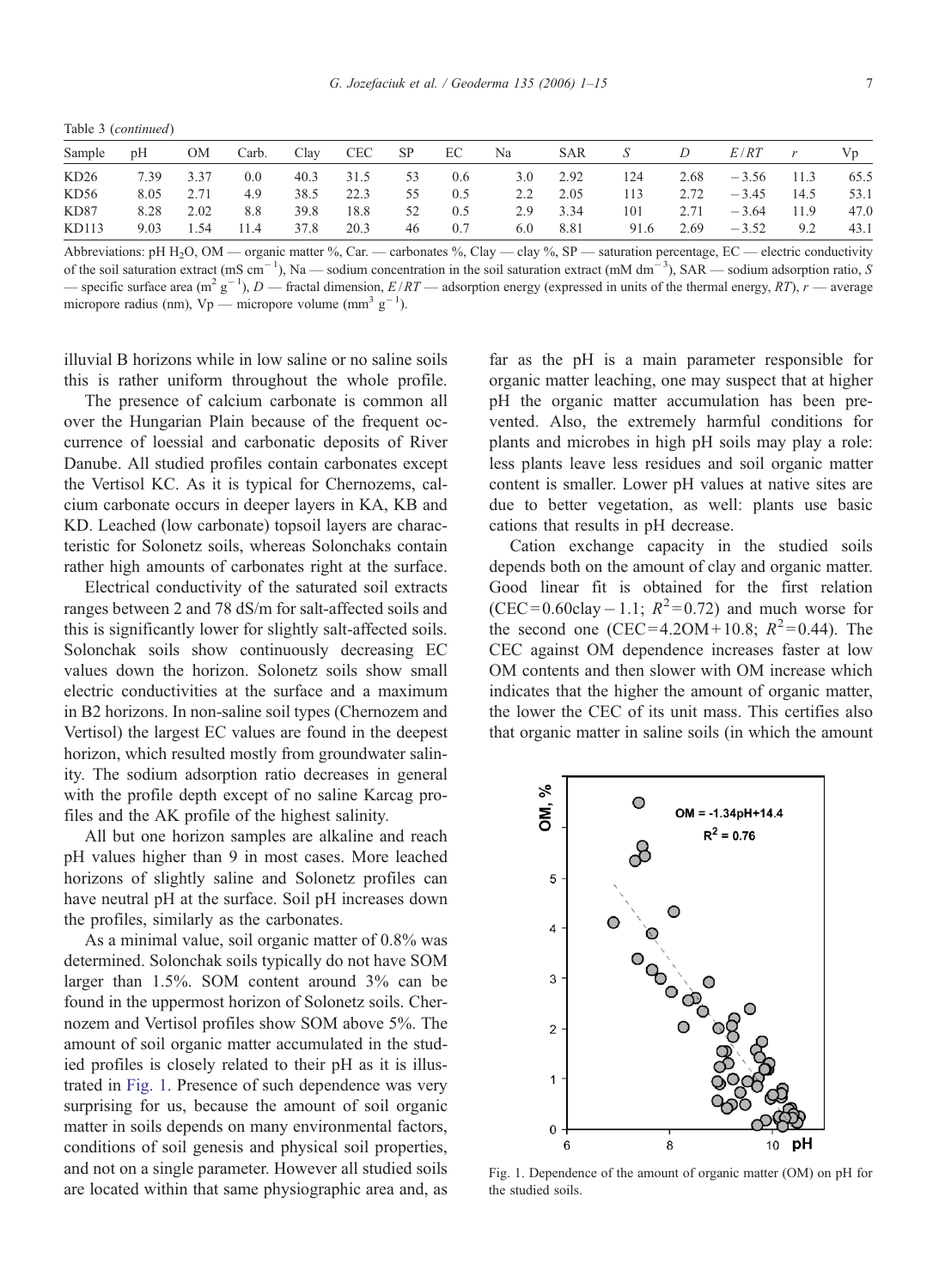Table 3 (continued)

| Sample      | pH   | OM   | Carb. | $\angle$ Clay | CEC SP    |    | EC  | Na  | SAR              | S    | D    | E/RT               | $\mathbf{r}$ | Vp   |
|-------------|------|------|-------|---------------|-----------|----|-----|-----|------------------|------|------|--------------------|--------------|------|
| KD26        | 7.39 | 3.37 | 0.0   |               | 40.3 31.5 | 53 | 0.6 |     | $3.0\qquad 2.92$ | 124  |      | $2.68 - 3.56$ 11.3 |              | 65.5 |
| KD56        | 8.05 | 2.71 | 4.9   | 38.5          | 22.3      | 55 | 0.5 | 2.2 | 2.05             | 113  | 2.72 | $-3.45$            | 14.5         | 53.1 |
| <b>KD87</b> | 8.28 | 2.02 | 8.8   | 39.8          | 18.8      | 52 | 0.5 | 2.9 | 3.34             | 101  | 2.71 | $-3.64$            | 11.9         | 47.0 |
| KD113       | 9.03 | 1.54 | 11.4  | 37.8          | 20.3      | 46 | 0.7 | 6.0 | 8.81             | 91.6 | 2.69 | $-3.52$            | 9.2          | 43.1 |

Abbreviations: pH H<sub>2</sub>O, OM — organic matter %, Car. — carbonates %, Clay — clay %, SP — saturation percentage, EC — electric conductivity of the soil saturation extract (mS cm<sup>-1</sup>), Na — sodium concentration in the soil saturation extract (mM dm<sup>-3</sup>), SAR — sodium adsorption ratio, S — specific surface area (m<sup>2</sup> g<sup>-1</sup>), D — fractal dimension,  $E/RT$  — adsorption energy (expressed in units of the thermal energy, RT), r — average micropore radius (nm),  $Vp$  — micropore volume (mm<sup>3</sup> g<sup>-1</sup>).

illuvial B horizons while in low saline or no saline soils this is rather uniform throughout the whole profile.

The presence of calcium carbonate is common all over the Hungarian Plain because of the frequent occurrence of loessial and carbonatic deposits of River Danube. All studied profiles contain carbonates except the Vertisol KC. As it is typical for Chernozems, calcium carbonate occurs in deeper layers in KA, KB and KD. Leached (low carbonate) topsoil layers are characteristic for Solonetz soils, whereas Solonchaks contain rather high amounts of carbonates right at the surface.

Electrical conductivity of the saturated soil extracts ranges between 2 and 78 dS/m for salt-affected soils and this is significantly lower for slightly salt-affected soils. Solonchak soils show continuously decreasing EC values down the horizon. Solonetz soils show small electric conductivities at the surface and a maximum in B2 horizons. In non-saline soil types (Chernozem and Vertisol) the largest EC values are found in the deepest horizon, which resulted mostly from groundwater salinity. The sodium adsorption ratio decreases in general with the profile depth except of no saline Karcag profiles and the AK profile of the highest salinity.

All but one horizon samples are alkaline and reach pH values higher than 9 in most cases. More leached horizons of slightly saline and Solonetz profiles can have neutral pH at the surface. Soil pH increases down the profiles, similarly as the carbonates.

As a minimal value, soil organic matter of 0.8% was determined. Solonchak soils typically do not have SOM larger than 1.5%. SOM content around 3% can be found in the uppermost horizon of Solonetz soils. Chernozem and Vertisol profiles show SOM above 5%. The amount of soil organic matter accumulated in the studied profiles is closely related to their pH as it is illustrated in Fig. 1. Presence of such dependence was very surprising for us, because the amount of soil organic matter in soils depends on many environmental factors, conditions of soil genesis and physical soil properties, and not on a single parameter. However all studied soils are located within that same physiographic area and, as far as the pH is a main parameter responsible for organic matter leaching, one may suspect that at higher pH the organic matter accumulation has been prevented. Also, the extremely harmful conditions for plants and microbes in high pH soils may play a role: less plants leave less residues and soil organic matter content is smaller. Lower pH values at native sites are due to better vegetation, as well: plants use basic cations that results in pH decrease.

Cation exchange capacity in the studied soils depends both on the amount of clay and organic matter. Good linear fit is obtained for the first relation (CEC = 0.60clay – 1.1;  $R^2 = 0.72$ ) and much worse for the second one (CEC=4.2OM+10.8;  $R^2$ =0.44). The CEC against OM dependence increases faster at low OM contents and then slower with OM increase which indicates that the higher the amount of organic matter, the lower the CEC of its unit mass. This certifies also that organic matter in saline soils (in which the amount



Fig. 1. Dependence of the amount of organic matter (OM) on pH for the studied soils.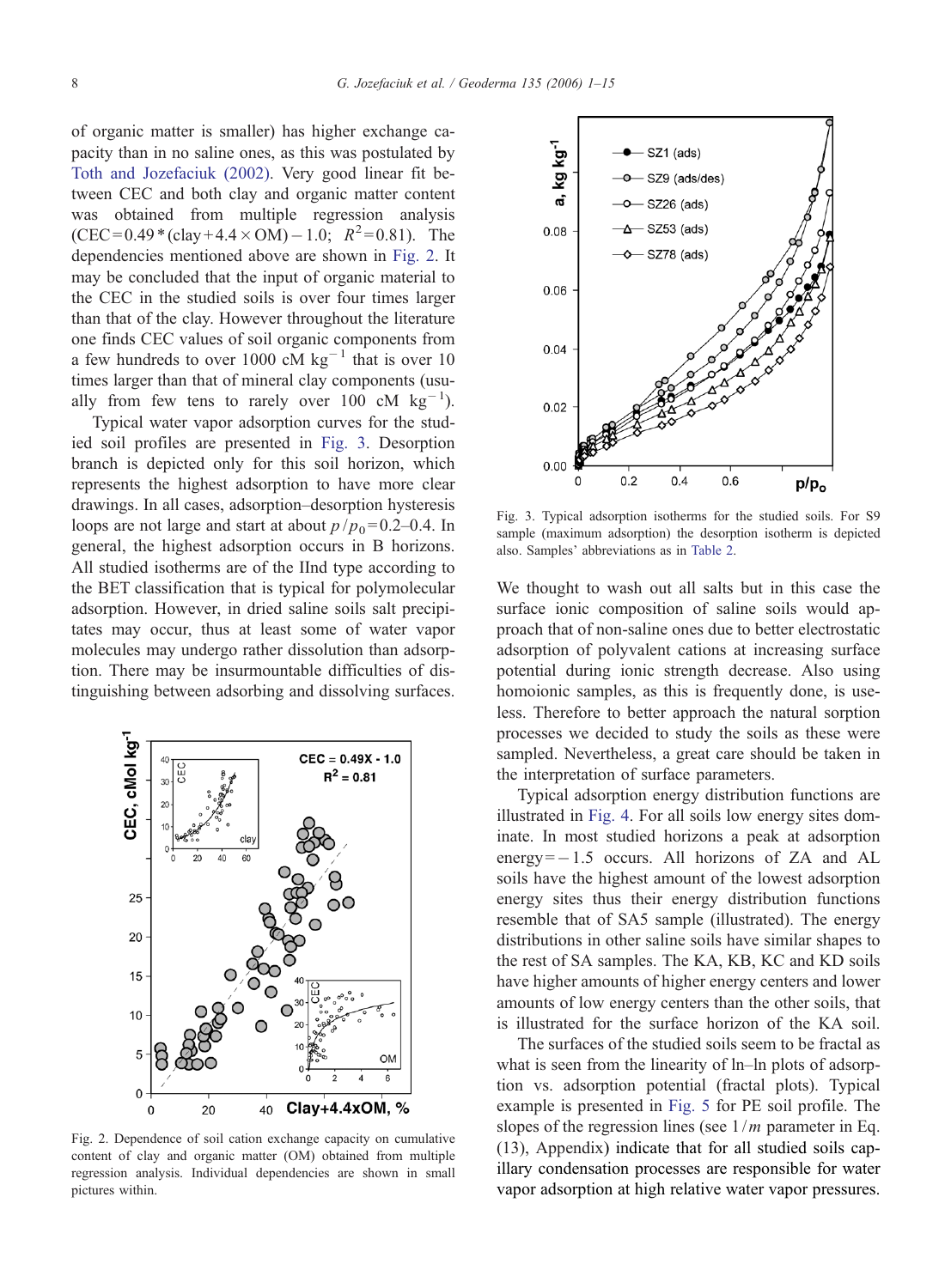of organic matter is smaller) has higher exchange capacity than in no saline ones, as this was postulated by [Toth and Jozefaciuk \(2002\)](#page-13-0). Very good linear fit between CEC and both clay and organic matter content was obtained from multiple regression analysis  $(CEC = 0.49 * (clay + 4.4 \times OM) - 1.0;$   $R^2 = 0.81$ ). The dependencies mentioned above are shown in Fig. 2. It may be concluded that the input of organic material to the CEC in the studied soils is over four times larger than that of the clay. However throughout the literature one finds CEC values of soil organic components from a few hundreds to over  $1000 \text{ cM kg}^{-1}$  that is over  $10$ times larger than that of mineral clay components (usually from few tens to rarely over 100 cM  $kg^{-1}$ ).

Typical water vapor adsorption curves for the studied soil profiles are presented in Fig. 3. Desorption branch is depicted only for this soil horizon, which represents the highest adsorption to have more clear drawings. In all cases, adsorption–desorption hysteresis loops are not large and start at about  $p/p_0= 0.2-0.4$ . In general, the highest adsorption occurs in B horizons. All studied isotherms are of the IInd type according to the BET classification that is typical for polymolecular adsorption. However, in dried saline soils salt precipitates may occur, thus at least some of water vapor molecules may undergo rather dissolution than adsorption. There may be insurmountable difficulties of distinguishing between adsorbing and dissolving surfaces.



Fig. 2. Dependence of soil cation exchange capacity on cumulative content of clay and organic matter (OM) obtained from multiple regression analysis. Individual dependencies are shown in small pictures within.



Fig. 3. Typical adsorption isotherms for the studied soils. For S9 sample (maximum adsorption) the desorption isotherm is depicted also. Samples' abbreviations as in [Table 2.](#page-3-0)

We thought to wash out all salts but in this case the surface ionic composition of saline soils would approach that of non-saline ones due to better electrostatic adsorption of polyvalent cations at increasing surface potential during ionic strength decrease. Also using homoionic samples, as this is frequently done, is useless. Therefore to better approach the natural sorption processes we decided to study the soils as these were sampled. Nevertheless, a great care should be taken in the interpretation of surface parameters.

Typical adsorption energy distribution functions are illustrated in [Fig. 4.](#page-8-0) For all soils low energy sites dominate. In most studied horizons a peak at adsorption energy  $= -1.5$  occurs. All horizons of ZA and AL soils have the highest amount of the lowest adsorption energy sites thus their energy distribution functions resemble that of SA5 sample (illustrated). The energy distributions in other saline soils have similar shapes to the rest of SA samples. The KA, KB, KC and KD soils have higher amounts of higher energy centers and lower amounts of low energy centers than the other soils, that is illustrated for the surface horizon of the KA soil.

The surfaces of the studied soils seem to be fractal as what is seen from the linearity of ln–ln plots of adsorption vs. adsorption potential (fractal plots). Typical example is presented in [Fig. 5](#page-8-0) for PE soil profile. The slopes of the regression lines (see  $1/m$  parameter in Eq. (13), Appendix) indicate that for all studied soils capillary condensation processes are responsible for water vapor adsorption at high relative water vapor pressures.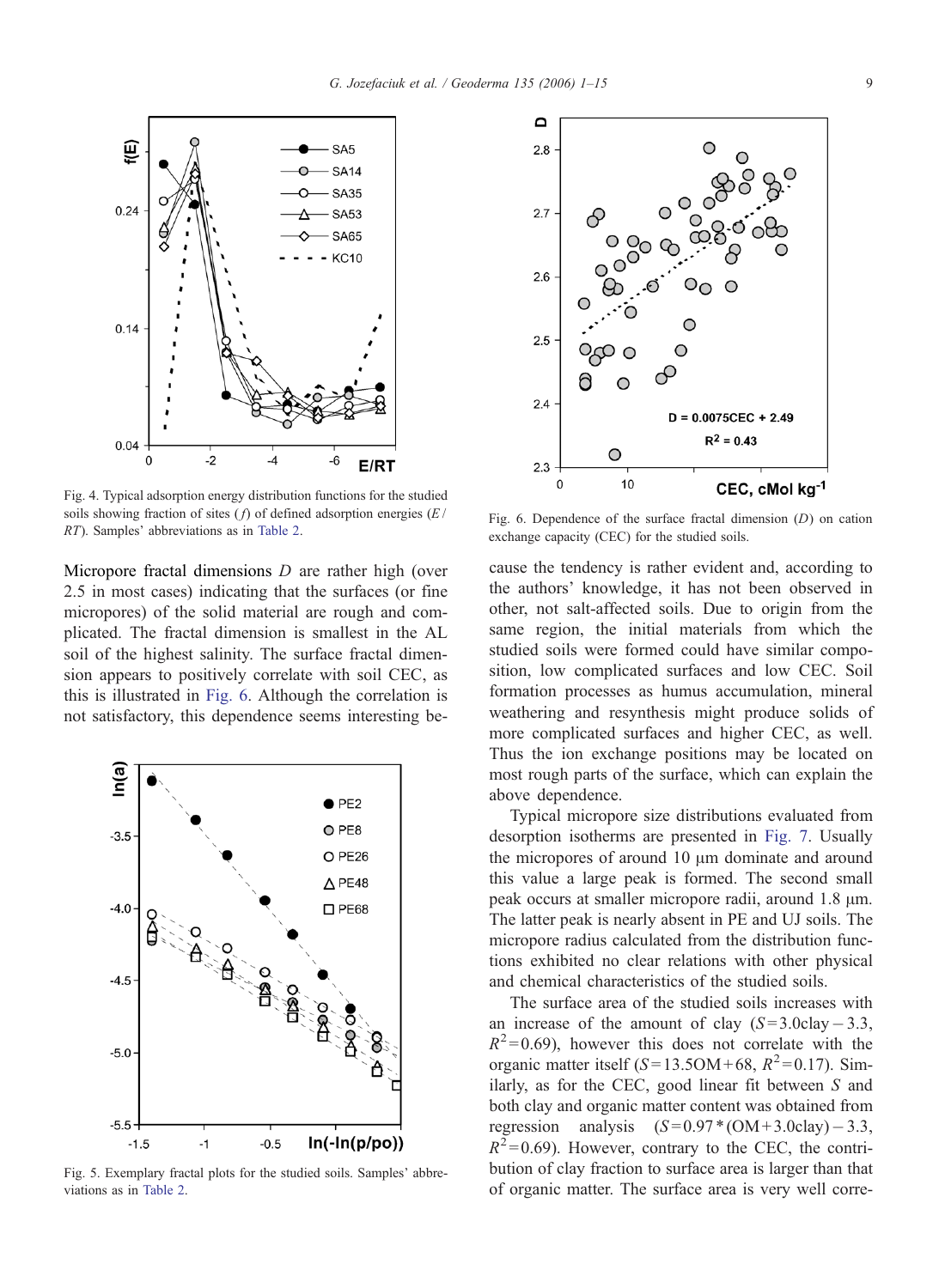<span id="page-8-0"></span>

Fig. 4. Typical adsorption energy distribution functions for the studied soils showing fraction of sites  $(f)$  of defined adsorption energies  $(E)$ solls showing fraction of sites (*f*) of defined adsorption energies (*E* Fig. 6. Dependence of the surface fractal dimension (*D*) on cation RT). Samples' abbreviations as in [Table 2](#page-3-0).

Micropore fractal dimensions D are rather high (over 2.5 in most cases) indicating that the surfaces (or fine micropores) of the solid material are rough and complicated. The fractal dimension is smallest in the AL soil of the highest salinity. The surface fractal dimension appears to positively correlate with soil CEC, as this is illustrated in Fig. 6. Although the correlation is not satisfactory, this dependence seems interesting be-



Fig. 5. Exemplary fractal plots for the studied soils. Samples' abbreviations as in [Table 2.](#page-3-0)



exchange capacity (CEC) for the studied soils.

cause the tendency is rather evident and, according to the authors' knowledge, it has not been observed in other, not salt-affected soils. Due to origin from the same region, the initial materials from which the studied soils were formed could have similar composition, low complicated surfaces and low CEC. Soil formation processes as humus accumulation, mineral weathering and resynthesis might produce solids of more complicated surfaces and higher CEC, as well. Thus the ion exchange positions may be located on most rough parts of the surface, which can explain the above dependence.

Typical micropore size distributions evaluated from desorption isotherms are presented in [Fig. 7.](#page-9-0) Usually the micropores of around  $10 \mu m$  dominate and around this value a large peak is formed. The second small peak occurs at smaller micropore radii, around 1.8  $\mu$ m. The latter peak is nearly absent in PE and UJ soils. The micropore radius calculated from the distribution functions exhibited no clear relations with other physical and chemical characteristics of the studied soils.

The surface area of the studied soils increases with an increase of the amount of clay  $(S=3.0)$ clay  $-3.3$ ,  $R^2$ =0.69), however this does not correlate with the organic matter itself  $(S=13.5OM+68, R^2=0.17)$ . Similarly, as for the CEC, good linear fit between  $S$  and both clay and organic matter content was obtained from regression analysis  $(S=0.97*(OM+3.0clay) - 3.3,$  $R^{2}$ =0.69). However, contrary to the CEC, the contribution of clay fraction to surface area is larger than that of organic matter. The surface area is very well corre-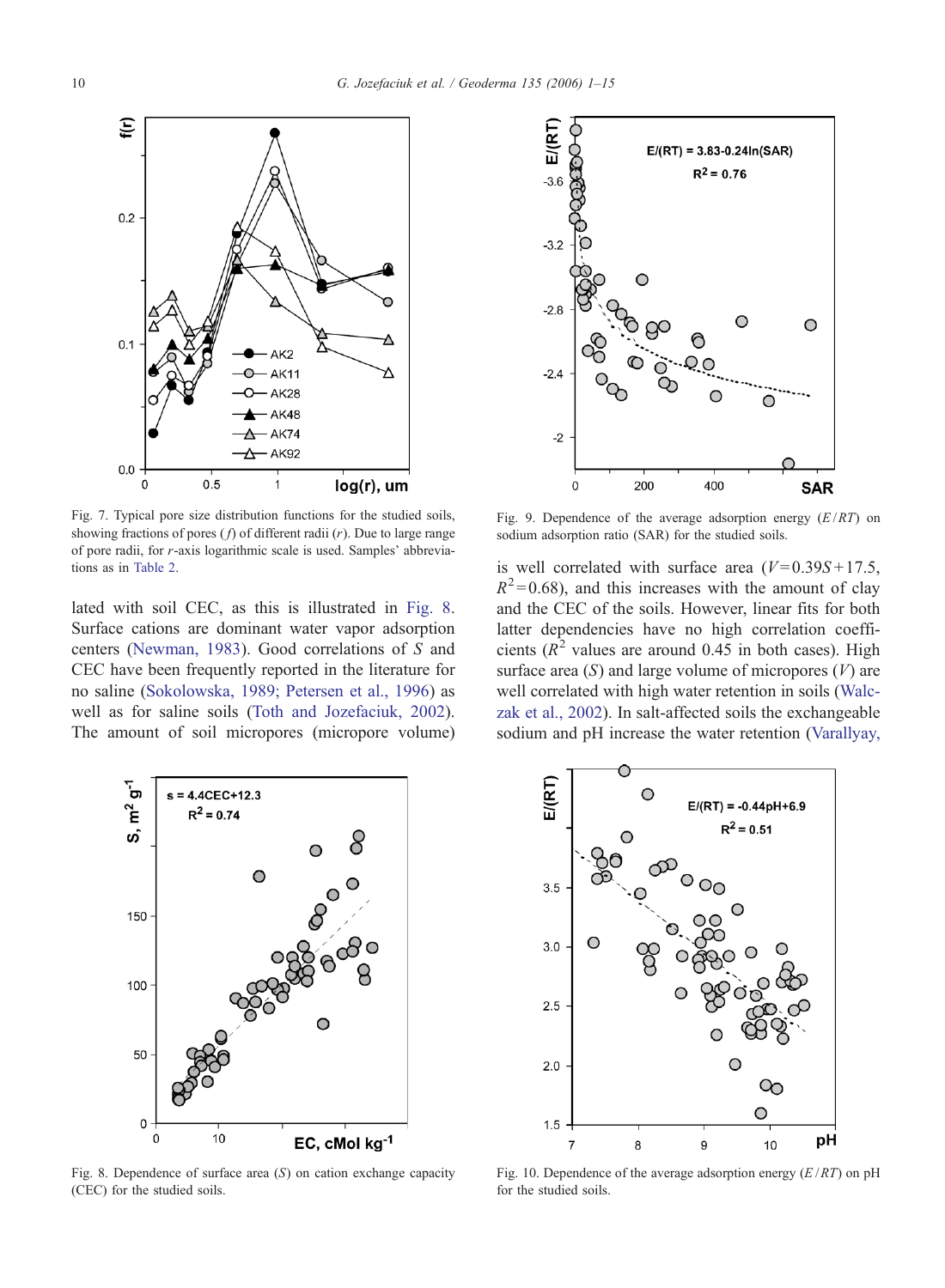<span id="page-9-0"></span>

Fig. 7. Typical pore size distribution functions for the studied soils, showing fractions of pores  $(f)$  of different radii  $(r)$ . Due to large range of pore radii, for r-axis logarithmic scale is used. Samples' abbreviations as in [Table 2](#page-3-0).

lated with soil CEC, as this is illustrated in Fig. 8. Surface cations are dominant water vapor adsorption centers [\(Newman, 1983](#page-13-0)). Good correlations of S and CEC have been frequently reported in the literature for no saline [\(Sokolowska, 1989; Petersen et al., 1996](#page-13-0)) as well as for saline soils [\(Toth and Jozefaciuk, 2002](#page-13-0)). The amount of soil micropores (micropore volume)



Fig. 8. Dependence of surface area  $(S)$  on cation exchange capacity (CEC) for the studied soils.



Fig. 9. Dependence of the average adsorption energy  $(E/RT)$  on sodium adsorption ratio (SAR) for the studied soils.

is well correlated with surface area  $(V=0.39S+17.5$ ,  $R^2$ =0.68), and this increases with the amount of clay and the CEC of the soils. However, linear fits for both latter dependencies have no high correlation coefficients ( $R^2$  values are around 0.45 in both cases). High surface area  $(S)$  and large volume of micropores  $(V)$  are well correlated with high water retention in soils ([Walc](#page-14-0)zak et al., 2002). In salt-affected soils the exchangeable sodium and pH increase the water retention ([Varallyay](#page-13-0),



Fig. 10. Dependence of the average adsorption energy  $(E/RT)$  on pH for the studied soils.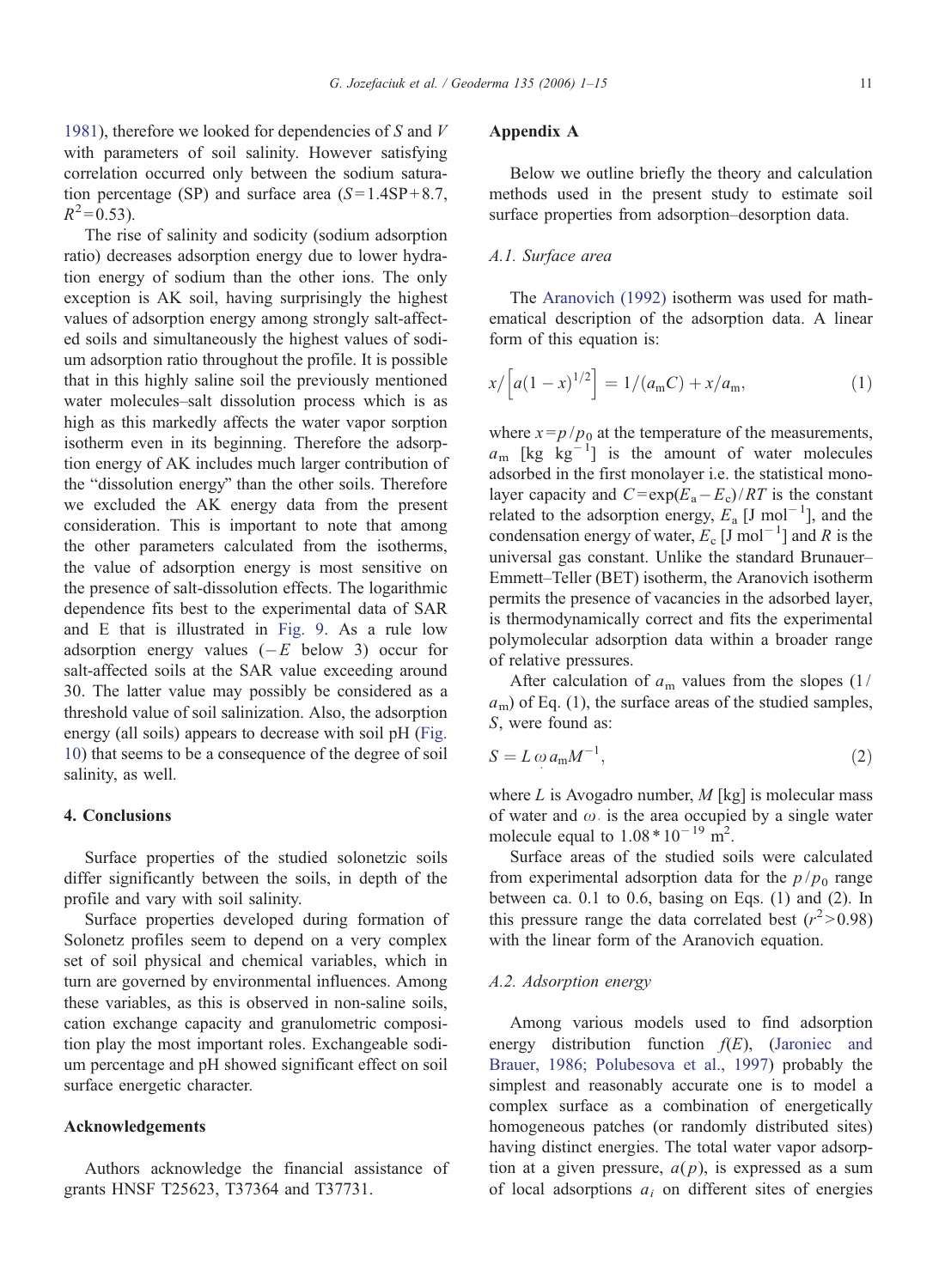1981), therefore we looked for dependencies of S and V with parameters of soil salinity. However satisfying correlation occurred only between the sodium saturation percentage (SP) and surface area  $(S=1.4SP+8.7,$  $R^2 = 0.53$ ).

The rise of salinity and sodicity (sodium adsorption ratio) decreases adsorption energy due to lower hydration energy of sodium than the other ions. The only exception is AK soil, having surprisingly the highest values of adsorption energy among strongly salt-affected soils and simultaneously the highest values of sodium adsorption ratio throughout the profile. It is possible that in this highly saline soil the previously mentioned water molecules–salt dissolution process which is as high as this markedly affects the water vapor sorption isotherm even in its beginning. Therefore the adsorption energy of AK includes much larger contribution of the "dissolution energy" than the other soils. Therefore we excluded the AK energy data from the present consideration. This is important to note that among the other parameters calculated from the isotherms, the value of adsorption energy is most sensitive on the presence of salt-dissolution effects. The logarithmic dependence fits best to the experimental data of SAR and E that is illustrated in [Fig. 9](#page-9-0). As a rule low adsorption energy values  $(-E \text{ below } 3)$  occur for salt-affected soils at the SAR value exceeding around 30. The latter value may possibly be considered as a threshold value of soil salinization. Also, the adsorption energy (all soils) appears to decrease with soil pH (F[ig.](#page-9-0) 10) that seems to be a consequence of the degree of soil salinity, as well.

# 4. Conclusions

Surface properties of the studied solonetzic soils differ significantly between the soils, in depth of the profile and vary with soil salinity.

Surface properties developed during formation of Solonetz profiles seem to depend on a very complex set of soil physical and chemical variables, which in turn are governed by environmental influences. Among these variables, as this is observed in non-saline soils, cation exchange capacity and granulometric composition play the most important roles. Exchangeable sodium percentage and pH showed significant effect on soil surface energetic character.

# Acknowledgements

Authors acknowledge the financial assistance of grants HNSF T25623, T37364 and T37731.

## Appendix A

Below we outline briefly the theory and calculation methods used in the present study to estimate soil surface properties from adsorption–desorption data.

#### A.1. Surface area

The [Aranovich \(1992\)](#page-12-0) isotherm was used for mathematical description of the adsorption data. A linear form of this equation is:

$$
x/\left[a(1-x)^{1/2}\right] = 1/(a_{\rm m}C) + x/a_{\rm m},\tag{1}
$$

where  $x = p/p_0$  at the temperature of the measurements,  $a_{\rm m}$  [kg kg<sup>-1</sup>] is the amount of water molecules adsorbed in the first monolayer i.e. the statistical monolayer capacity and  $C = \exp(E_a - E_c)/RT$  is the constant related to the adsorption energy,  $E_a$  [J mol<sup>-1</sup>], and the condensation energy of water,  $E_c$  [J mol<sup>-1</sup>] and R is the universal gas constant. Unlike the standard Brunauer– Emmett–Teller (BET) isotherm, the Aranovich isotherm permits the presence of vacancies in the adsorbed layer, is thermodynamically correct and fits the experimental polymolecular adsorption data within a broader range of relative pressures.

After calculation of  $a_m$  values from the slopes (1/  $a<sub>m</sub>$ ) of Eq. (1), the surface areas of the studied samples, S, were found as:

$$
S = L \omega a_{\rm m} M^{-1},\tag{2}
$$

where  $L$  is Avogadro number,  $M$  [kg] is molecular mass of water and  $\omega$  is the area occupied by a single water molecule equal to  $1.08 * 10^{-19}$  m<sup>2</sup>.

Surface areas of the studied soils were calculated from experimental adsorption data for the  $p/p_0$  range between ca. 0.1 to 0.6, basing on Eqs. (1) and (2). In this pressure range the data correlated best  $(r^2 > 0.98)$ with the linear form of the Aranovich equation.

#### A.2. Adsorption energy

Among various models used to find adsorption energy distribution function  $f(E)$ , ([Jaroniec and](#page-13-0) Brauer, 1986; Polubesova et al., 1997) probably the simplest and reasonably accurate one is to model a complex surface as a combination of energetically homogeneous patches (or randomly distributed sites) having distinct energies. The total water vapor adsorption at a given pressure,  $a(p)$ , is expressed as a sum of local adsorptions  $a_i$  on different sites of energies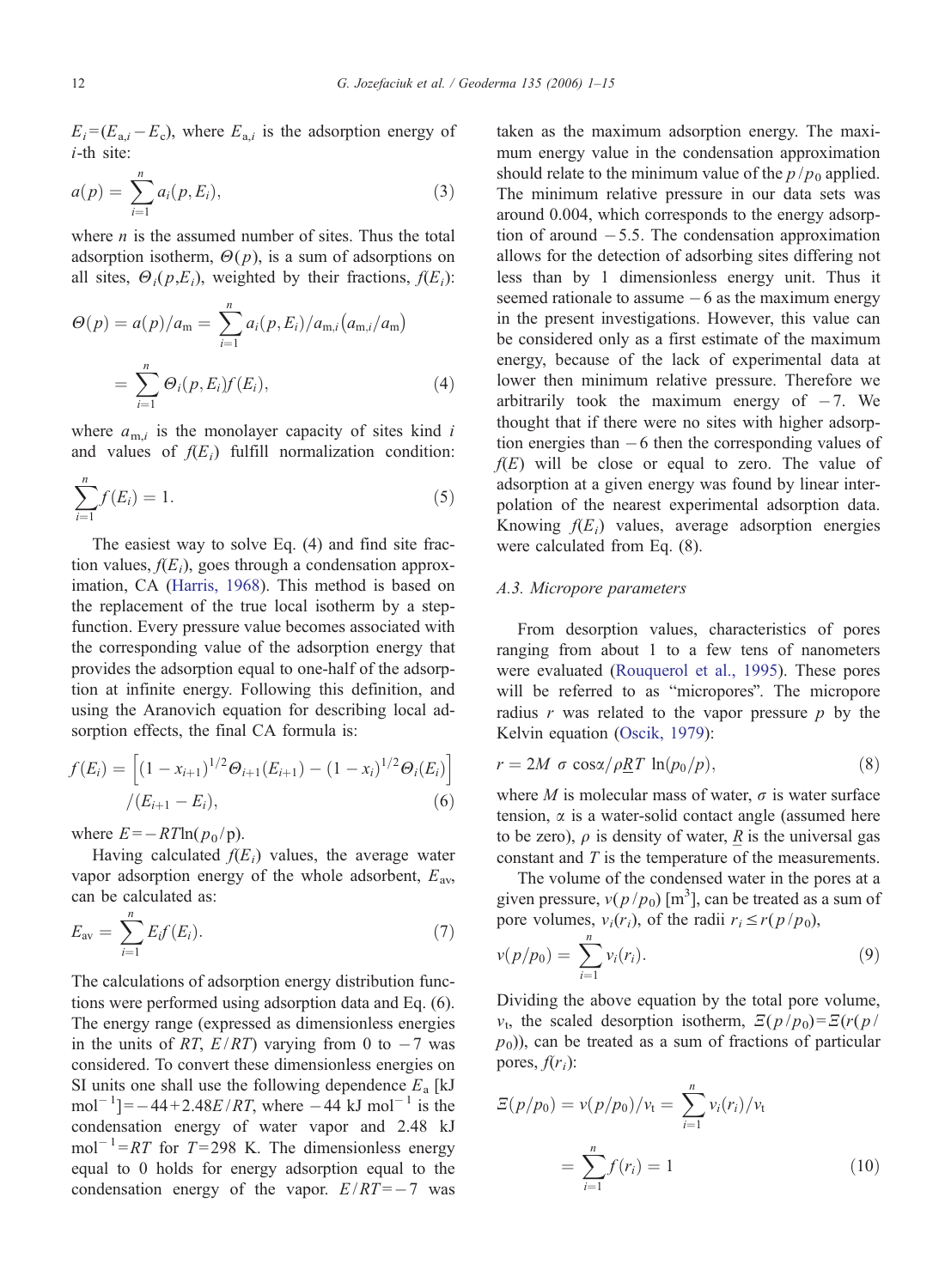$E_i = (E_{a,i} - E_c)$ , where  $E_{a,i}$  is the adsorption energy of i-th site:

$$
a(p) = \sum_{i=1}^{n} a_i(p, E_i),
$$
\n(3)

where  $n$  is the assumed number of sites. Thus the total adsorption isotherm,  $\Theta(p)$ , is a sum of adsorptions on all sites,  $\Theta_i(p,E_i)$ , weighted by their fractions,  $f(E_i)$ :

$$
\Theta(p) = a(p)/a_m = \sum_{i=1}^n a_i(p, E_i)/a_{m,i}(a_{m,i}/a_m)
$$

$$
= \sum_{i=1}^n \Theta_i(p, E_i)f(E_i), \qquad (4)
$$

where  $a_{m,i}$  is the monolayer capacity of sites kind i and values of  $f(E_i)$  fulfill normalization condition:

$$
\sum_{i=1}^{n} f(E_i) = 1.
$$
 (5)

The easiest way to solve Eq. (4) and find site fraction values,  $f(E_i)$ , goes through a condensation approximation, CA ([Harris, 1968\)](#page-13-0). This method is based on the replacement of the true local isotherm by a stepfunction. Every pressure value becomes associated with the corresponding value of the adsorption energy that provides the adsorption equal to one-half of the adsorption at infinite energy. Following this definition, and using the Aranovich equation for describing local adsorption effects, the final CA formula is:

$$
f(E_i) = \left[ (1 - x_{i+1})^{1/2} \Theta_{i+1}(E_{i+1}) - (1 - x_i)^{1/2} \Theta_i(E_i) \right]
$$
  
/(E\_{i+1} - E\_i), (6)

where  $E = -RT\ln(p_0/p)$ .

Having calculated  $f(E_i)$  values, the average water vapor adsorption energy of the whole adsorbent,  $E_{av}$ , can be calculated as:

$$
E_{\rm av} = \sum_{i=1}^{n} E_i f(E_i).
$$
 (7)

The calculations of adsorption energy distribution functions were performed using adsorption data and Eq. (6). The energy range (expressed as dimensionless energies in the units of RT,  $E/RT$ ) varying from 0 to  $-7$  was considered. To convert these dimensionless energies on SI units one shall use the following dependence  $E_a$  [kJ] mol<sup>-1</sup>]= -44 + 2.48*E* / *RT*, where -44 kJ mol<sup>-1</sup> is the condensation energy of water vapor and 2.48 kJ mol<sup>-1</sup>=RT for T=298 K. The dimensionless energy equal to 0 holds for energy adsorption equal to the condensation energy of the vapor.  $E/RT = -7$  was

taken as the maximum adsorption energy. The maximum energy value in the condensation approximation should relate to the minimum value of the  $p/p_0$  applied. The minimum relative pressure in our data sets was around 0.004, which corresponds to the energy adsorption of around  $-5.5$ . The condensation approximation allows for the detection of adsorbing sites differing not less than by 1 dimensionless energy unit. Thus it seemed rationale to assume  $-6$  as the maximum energy in the present investigations. However, this value can be considered only as a first estimate of the maximum energy, because of the lack of experimental data at lower then minimum relative pressure. Therefore we arbitrarily took the maximum energy of  $-7$ . We thought that if there were no sites with higher adsorption energies than  $-6$  then the corresponding values of  $f(E)$  will be close or equal to zero. The value of adsorption at a given energy was found by linear interpolation of the nearest experimental adsorption data. Knowing  $f(E_i)$  values, average adsorption energies were calculated from Eq. (8).

# A.3. Micropore parameters

From desorption values, characteristics of pores ranging from about 1 to a few tens of nanometers were evaluated ([Rouquerol et al., 1995\)](#page-13-0). These pores will be referred to as "micropores". The micropore radius  $r$  was related to the vapor pressure  $p$  by the Kelvin equation ([Oscik, 1979\)](#page-13-0):

$$
r = 2M \sigma \cos\alpha / \rho \underline{R}T \ln(p_0/p), \qquad (8)
$$

where *M* is molecular mass of water,  $\sigma$  is water surface tension,  $\alpha$  is a water-solid contact angle (assumed here to be zero),  $\rho$  is density of water, R is the universal gas constant and T is the temperature of the measurements.

The volume of the condensed water in the pores at a given pressure,  $v(p/p_0)$  [m<sup>3</sup>], can be treated as a sum of pore volumes,  $v_i(r_i)$ , of the radii  $r_i \le r(p / p_0)$ ,

$$
v(p/p_0) = \sum_{i=1}^{n} v_i(r_i).
$$
 (9)

Dividing the above equation by the total pore volume,  $v_t$ , the scaled desorption isotherm,  $E(p / p_0) = E(r(p / p_0))$  $p<sub>0</sub>$ )), can be treated as a sum of fractions of particular pores,  $f(r_i)$ :

$$
\mathcal{E}(p/p_0) = v(p/p_0)/v_t = \sum_{i=1}^n v_i(r_i)/v_t
$$

$$
= \sum_{i=1}^n f(r_i) = 1
$$
(10)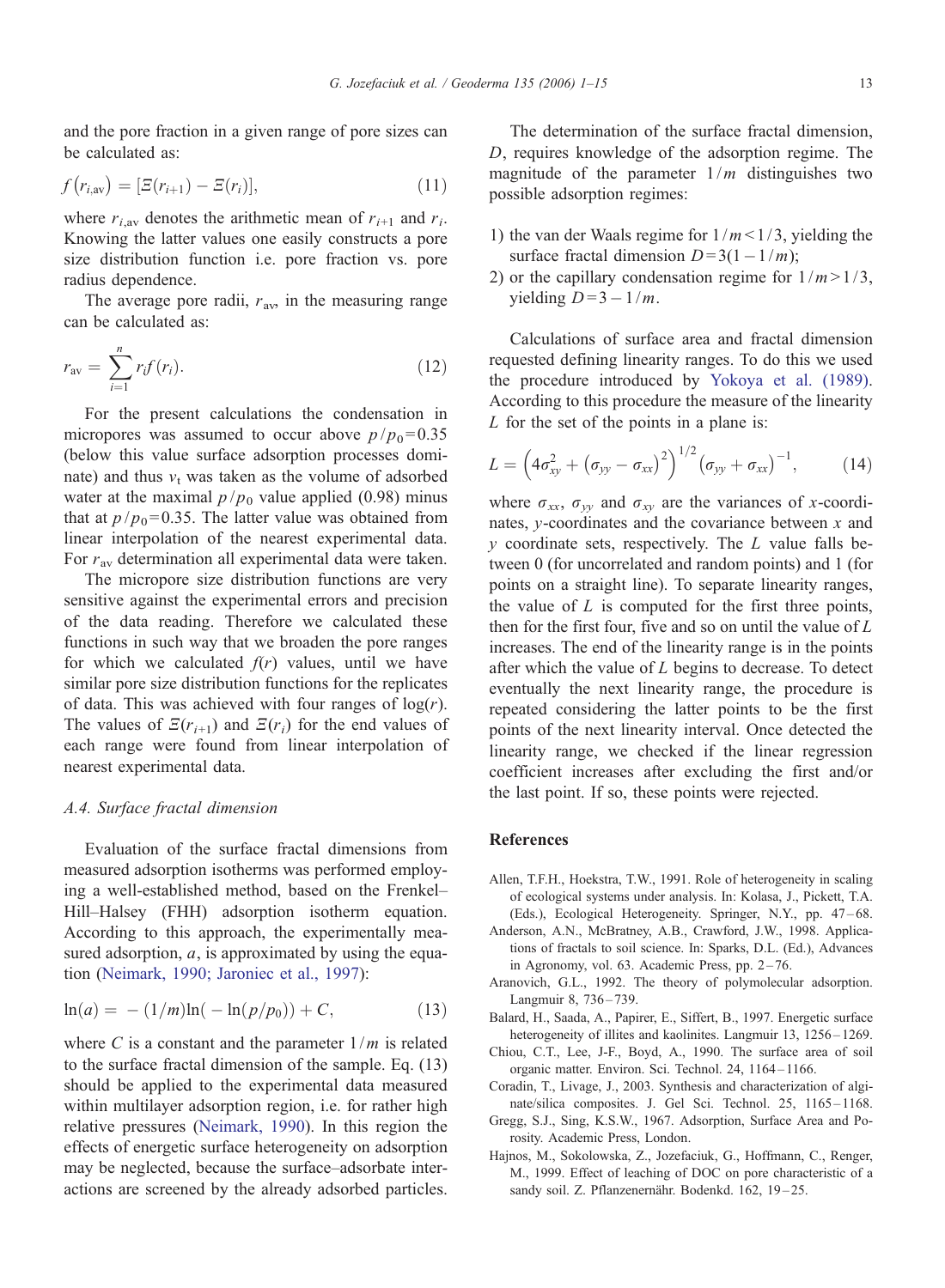<span id="page-12-0"></span>and the pore fraction in a given range of pore sizes can be calculated as:

$$
f(r_{i,av}) = [\Xi(r_{i+1}) - \Xi(r_i)],
$$
\n(11)

where  $r_{i,av}$  denotes the arithmetic mean of  $r_{i+1}$  and  $r_i$ . Knowing the latter values one easily constructs a pore size distribution function i.e. pore fraction vs. pore radius dependence.

The average pore radii,  $r_{\text{av}}$  in the measuring range can be calculated as:

$$
r_{\rm av} = \sum_{i=1}^{n} r_i f(r_i). \tag{12}
$$

For the present calculations the condensation in micropores was assumed to occur above  $p/p_0=0.35$ (below this value surface adsorption processes dominate) and thus  $v_t$  was taken as the volume of adsorbed water at the maximal  $p/p_0$  value applied (0.98) minus that at  $p/p_0$ = 0.35. The latter value was obtained from linear interpolation of the nearest experimental data. For  $r_{av}$  determination all experimental data were taken.

The micropore size distribution functions are very sensitive against the experimental errors and precision of the data reading. Therefore we calculated these functions in such way that we broaden the pore ranges for which we calculated  $f(r)$  values, until we have similar pore size distribution functions for the replicates of data. This was achieved with four ranges of  $log(r)$ . The values of  $E(r_{i+1})$  and  $E(r_i)$  for the end values of each range were found from linear interpolation of nearest experimental data.

#### A.4. Surface fractal dimension

Evaluation of the surface fractal dimensions from measured adsorption isotherms was performed employing a well-established method, based on the Frenkel– Hill–Halsey (FHH) adsorption isotherm equation. According to this approach, the experimentally measured adsorption,  $a$ , is approximated by using the equation [\(Neimark, 1990; Jaroniec et al., 1997](#page-13-0)):

$$
\ln(a) = -(1/m)\ln(-\ln(p/p_0)) + C,\tag{13}
$$

where C is a constant and the parameter  $1/m$  is related to the surface fractal dimension of the sample. Eq. (13) should be applied to the experimental data measured within multilayer adsorption region, i.e. for rather high relative pressures ([Neimark, 1990\).](#page-13-0) In this region the effects of energetic surface heterogeneity on adsorption may be neglected, because the surface–adsorbate interactions are screened by the already adsorbed particles.

The determination of the surface fractal dimension, D, requires knowledge of the adsorption regime. The magnitude of the parameter  $1/m$  distinguishes two possible adsorption regimes:

- 1) the van der Waals regime for  $1/m < 1/3$ , yielding the surface fractal dimension  $D = 3(1 - 1/m)$ ;
- 2) or the capillary condensation regime for  $1/m > 1/3$ , yielding  $D=3-1/m$ .

Calculations of surface area and fractal dimension requested defining linearity ranges. To do this we used the procedure introduced by [Yokoya et al. \(1989\).](#page-14-0) According to this procedure the measure of the linearity  $L$  for the set of the points in a plane is:

$$
L = \left(4\sigma_{xy}^2 + \left(\sigma_{yy} - \sigma_{xx}\right)^2\right)^{1/2} \left(\sigma_{yy} + \sigma_{xx}\right)^{-1},\tag{14}
$$

where  $\sigma_{xx}$ ,  $\sigma_{yy}$  and  $\sigma_{xy}$  are the variances of x-coordinates, y-coordinates and the covariance between  $x$  and  $\nu$  coordinate sets, respectively. The L value falls between 0 (for uncorrelated and random points) and 1 (for points on a straight line). To separate linearity ranges, the value of  $L$  is computed for the first three points, then for the first four, five and so on until the value of  $L$ increases. The end of the linearity range is in the points after which the value of  $L$  begins to decrease. To detect eventually the next linearity range, the procedure is repeated considering the latter points to be the first points of the next linearity interval. Once detected the linearity range, we checked if the linear regression coefficient increases after excluding the first and/or the last point. If so, these points were rejected.

#### References

- Allen, T.F.H., Hoekstra, T.W., 1991. Role of heterogeneity in scaling of ecological systems under analysis. In: Kolasa, J., Pickett, T.A. (Eds.), Ecological Heterogeneity. Springer, N.Y., pp. 47-68.
- Anderson, A.N., McBratney, A.B., Crawford, J.W., 1998. Applications of fractals to soil science. In: Sparks, D.L. (Ed.), Advances in Agronomy, vol. 63. Academic Press, pp. 2-76.
- Aranovich, G.L., 1992. The theory of polymolecular adsorption. Langmuir 8, 736 – 739.
- Balard, H., Saada, A., Papirer, E., Siffert, B., 1997. Energetic surface heterogeneity of illites and kaolinites. Langmuir 13, 1256-1269.
- Chiou, C.T., Lee, J-F., Boyd, A., 1990. The surface area of soil organic matter. Environ. Sci. Technol. 24, 1164 – 1166.
- Coradin, T., Livage, J., 2003. Synthesis and characterization of alginate/silica composites. J. Gel Sci. Technol. 25, 1165-1168.
- Gregg, S.J., Sing, K.S.W., 1967. Adsorption, Surface Area and Porosity. Academic Press, London.
- Hajnos, M., Sokolowska, Z., Jozefaciuk, G., Hoffmann, C., Renger, M., 1999. Effect of leaching of DOC on pore characteristic of a sandy soil. Z. Pflanzenernähr. Bodenkd. 162, 19-25.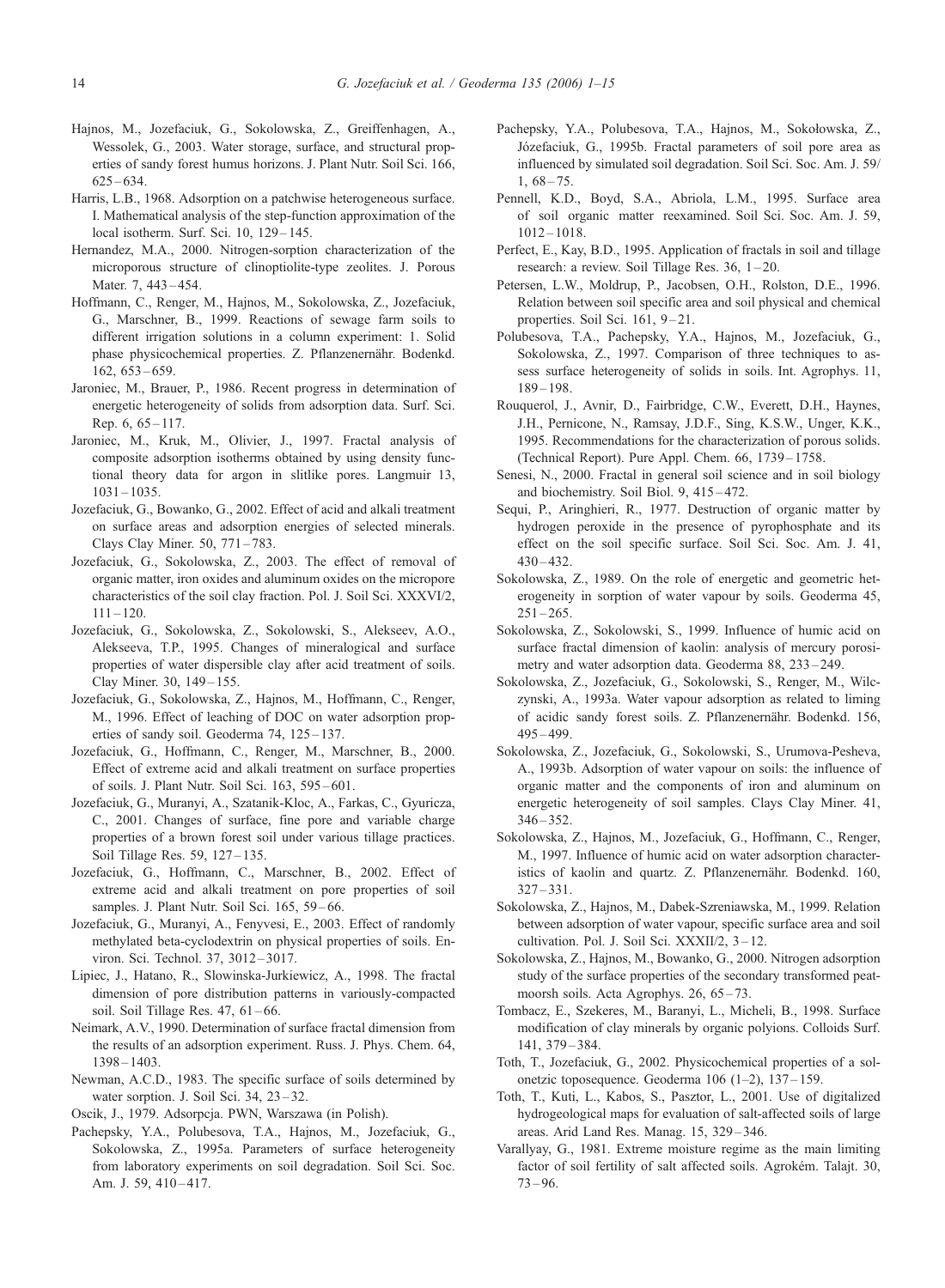- <span id="page-13-0"></span>Hajnos, M., Jozefaciuk, G., Sokolowska, Z., Greiffenhagen, A., Wessolek, G., 2003. Water storage, surface, and structural properties of sandy forest humus horizons. J. Plant Nutr. Soil Sci. 166,  $625 - 634.$
- Harris, L.B., 1968. Adsorption on a patchwise heterogeneous surface. I. Mathematical analysis of the step-function approximation of the local isotherm. Surf. Sci. 10, 129-145.
- Hernandez, M.A., 2000. Nitrogen-sorption characterization of the microporous structure of clinoptiolite-type zeolites. J. Porous Mater. 7, 443 – 454.
- Hoffmann, C., Renger, M., Hajnos, M., Sokolowska, Z., Jozefaciuk, G., Marschner, B., 1999. Reactions of sewage farm soils to different irrigation solutions in a column experiment: 1. Solid phase physicochemical properties. Z. Pflanzenernähr. Bodenkd. 162, 653 – 659.
- Jaroniec, M., Brauer, P., 1986. Recent progress in determination of energetic heterogeneity of solids from adsorption data. Surf. Sci. Rep.  $6, 65 - 117$ .
- Jaroniec, M., Kruk, M., Olivier, J., 1997. Fractal analysis of composite adsorption isotherms obtained by using density functional theory data for argon in slitlike pores. Langmuir 13,  $1031 - 1035$ .
- Jozefaciuk, G., Bowanko, G., 2002. Effect of acid and alkali treatment on surface areas and adsorption energies of selected minerals. Clays Clay Miner. 50, 771 – 783.
- Jozefaciuk, G., Sokolowska, Z., 2003. The effect of removal of organic matter, iron oxides and aluminum oxides on the micropore characteristics of the soil clay fraction. Pol. J. Soil Sci. XXXVI/2,  $111 - 120.$
- Jozefaciuk, G., Sokolowska, Z., Sokolowski, S., Alekseev, A.O., Alekseeva, T.P., 1995. Changes of mineralogical and surface properties of water dispersible clay after acid treatment of soils. Clay Miner. 30, 149 – 155.
- Jozefaciuk, G., Sokolowska, Z., Hajnos, M., Hoffmann, C., Renger, M., 1996. Effect of leaching of DOC on water adsorption properties of sandy soil. Geoderma 74, 125-137.
- Jozefaciuk, G., Hoffmann, C., Renger, M., Marschner, B., 2000. Effect of extreme acid and alkali treatment on surface properties of soils. J. Plant Nutr. Soil Sci. 163, 595 – 601.
- Jozefaciuk, G., Muranyi, A., Szatanik-Kloc, A., Farkas, C., Gyuricza, C., 2001. Changes of surface, fine pore and variable charge properties of a brown forest soil under various tillage practices. Soil Tillage Res. 59, 127-135.
- Jozefaciuk, G., Hoffmann, C., Marschner, B., 2002. Effect of extreme acid and alkali treatment on pore properties of soil samples. J. Plant Nutr. Soil Sci. 165, 59-66.
- Jozefaciuk, G., Muranyi, A., Fenyvesi, E., 2003. Effect of randomly methylated beta-cyclodextrin on physical properties of soils. Environ. Sci. Technol. 37, 3012-3017.
- Lipiec, J., Hatano, R., Slowinska-Jurkiewicz, A., 1998. The fractal dimension of pore distribution patterns in variously-compacted soil. Soil Tillage Res. 47, 61-66.
- Neimark, A.V., 1990. Determination of surface fractal dimension from the results of an adsorption experiment. Russ. J. Phys. Chem. 64, 1398 – 1403.
- Newman, A.C.D., 1983. The specific surface of soils determined by water sorption. J. Soil Sci. 34, 23-32.
- Oscik, J., 1979. Adsorpcja. PWN, Warszawa (in Polish).
- Pachepsky, Y.A., Polubesova, T.A., Hajnos, M., Jozefaciuk, G., Sokolowska, Z., 1995a. Parameters of surface heterogeneity from laboratory experiments on soil degradation. Soil Sci. Soc. Am. J. 59, 410-417.
- Pachepsky, Y.A., Polubesova, T.A., Hajnos, M., Sokołowska, Z., Józefaciuk, G., 1995b. Fractal parameters of soil pore area as influenced by simulated soil degradation. Soil Sci. Soc. Am. J. 59/  $1, 68 - 75.$
- Pennell, K.D., Boyd, S.A., Abriola, L.M., 1995. Surface area of soil organic matter reexamined. Soil Sci. Soc. Am. J. 59,  $1012 - 1018.$
- Perfect, E., Kay, B.D., 1995. Application of fractals in soil and tillage research: a review. Soil Tillage Res. 36, 1 – 20.
- Petersen, L.W., Moldrup, P., Jacobsen, O.H., Rolston, D.E., 1996. Relation between soil specific area and soil physical and chemical properties. Soil Sci. 161, 9-21.
- Polubesova, T.A., Pachepsky, Y.A., Hajnos, M., Jozefaciuk, G., Sokolowska, Z., 1997. Comparison of three techniques to assess surface heterogeneity of solids in soils. Int. Agrophys. 11,  $189 - 198$
- Rouquerol, J., Avnir, D., Fairbridge, C.W., Everett, D.H., Haynes, J.H., Pernicone, N., Ramsay, J.D.F., Sing, K.S.W., Unger, K.K., 1995. Recommendations for the characterization of porous solids. (Technical Report). Pure Appl. Chem. 66, 1739 – 1758.
- Senesi, N., 2000. Fractal in general soil science and in soil biology and biochemistry. Soil Biol. 9, 415 – 472.
- Sequi, P., Aringhieri, R., 1977. Destruction of organic matter by hydrogen peroxide in the presence of pyrophosphate and its effect on the soil specific surface. Soil Sci. Soc. Am. J. 41,  $430 - 432$ .
- Sokolowska, Z., 1989. On the role of energetic and geometric heterogeneity in sorption of water vapour by soils. Geoderma 45,  $251 - 265$ .
- Sokolowska, Z., Sokolowski, S., 1999. Influence of humic acid on surface fractal dimension of kaolin: analysis of mercury porosimetry and water adsorption data. Geoderma 88, 233 – 249.
- Sokolowska, Z., Jozefaciuk, G., Sokolowski, S., Renger, M., Wilczynski, A., 1993a. Water vapour adsorption as related to liming of acidic sandy forest soils. Z. Pflanzenernähr. Bodenkd. 156,  $495 - 499.$
- Sokolowska, Z., Jozefaciuk, G., Sokolowski, S., Urumova-Pesheva, A., 1993b. Adsorption of water vapour on soils: the influence of organic matter and the components of iron and aluminum on energetic heterogeneity of soil samples. Clays Clay Miner. 41,  $346 - 352.$
- Sokolowska, Z., Hajnos, M., Jozefaciuk, G., Hoffmann, C., Renger, M., 1997. Influence of humic acid on water adsorption characteristics of kaolin and quartz. Z. Pflanzenernähr. Bodenkd. 160,  $327 - 331.$
- Sokolowska, Z., Hajnos, M., Dabek-Szreniawska, M., 1999. Relation between adsorption of water vapour, specific surface area and soil cultivation. Pol. J. Soil Sci. XXXII/2, 3-12.
- Sokolowska, Z., Hajnos, M., Bowanko, G., 2000. Nitrogen adsorption study of the surface properties of the secondary transformed peatmoorsh soils. Acta Agrophys. 26, 65-73.
- Tombacz, E., Szekeres, M., Baranyi, L., Micheli, B., 1998. Surface modification of clay minerals by organic polyions. Colloids Surf. 141, 379 – 384.
- Toth, T., Jozefaciuk, G., 2002. Physicochemical properties of a solonetzic toposequence. Geoderma 106 (1–2), 137 – 159.
- Toth, T., Kuti, L., Kabos, S., Pasztor, L., 2001. Use of digitalized hydrogeological maps for evaluation of salt-affected soils of large areas. Arid Land Res. Manag. 15, 329 – 346.
- Varallyay, G., 1981. Extreme moisture regime as the main limiting factor of soil fertility of salt affected soils. Agrokém. Talajt. 30,  $73 - 96.$